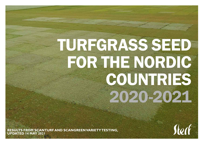# TURFGRASS SEED FOR THE NORDIC COUNTRIES 2020-2021

**RESULTS FROM SCANTURF AND SCANGREEN VARIETY TESTING, UPDATED 14 MAY 2021**

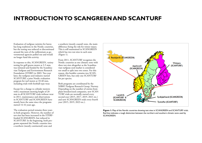# **INTRODUCTION TO SCANGREEN AND SCANTURF**

Evaluation of turfgrass varieties for lawns has long traditions in the Nordic countries, but the testing was reduced or discontinued around the turn of the millennium as governmental agencies pulled out and would no longer fund this activity.

In response to this, SCANGREEN, variety testing for golf greens mown at 3-5 mm, was initiated and funded by the Scandinavian Turfgrass and Environment Research Foundation (STERF) in 2003. Two year later, the turfgrass seed industry started SCANTURF, a joint Nordic evaluation program for turf mown at 10-40 mm, including trials with football-type wear.

Except for a change to cylinder mowers with a maximum mowing height of 20 mm in all SCANTURF trials without wear in 2011, maintenance and observations in SCANTURF and SCANGREEN have mostly been the same since the programs started 14-16 years ago.

The evaluation period remains three years in both programs. However, the number of test sites has been increased in the STERFfunded SCANGREEN, but reduced in SCANTURF. In the beginning, both programs separated the Nordic counties into a northern (mostly continental) zone and

a southern (mostly coastal) zone, the main difference being the risk for winter injury. This is still maintained in SCANGREEN which has two test sites in each zone (Figure 1).

From 2011, SCANTURF recognizes the Nordic countries as one climatic zone with three test sites altogether as the Scandinavian turfgrass seed market is considered too small to split into two zones. For this reason, this booklet contains two SCAN-GREEN lists, but only one SCANTURF list per species.

Both programs are coordinated by the NIBIO Turfgrass Research Group, Norway. Depending on the number of entries from plant breeders/seed companies, new SCAN-TURF trials are normally started every second year (2015, 2017, 2019, 2021 etc.) and new SCANGREEN trials every fourth year (2015, 2019, 2023 etc.).



**Figure 1:** Map of the Nordic countries showing test sites in SCANGREEN and SCANTURF trials. Red line indicates a rough distinction between the northern and southern climatic zone used by SCANGREEN.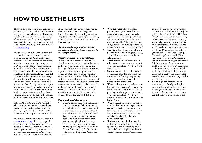# **HOW TO USE THE LISTS**

This booklet is about turfgrass varieties, not turfgrass species. Each table must therefore be regarded separately, with no direct comparison between different species or areas of use. Readers not familiar with species' characteristics and areas of use should read 'The Grass Guide 2015', which is available at www.sterf.org.

The SCANTURF tables not only include varieties that have been tested since the program started in 2005, but also varieties that are still on the market after being tested in the former national programs or at Östra Ljungby Naturbruksgymnasium in Southern Sweden from 2005 to 2008. Results were collated in a common list by calculating performance relative to control varieties (=index 100) which were mostly the same in the different programs and test rounds. Mean values were presented in the case of conflicting results among the former programs. Empty cells in the tables reflect that all characters were not assessed in all programs. Varieties that have been withdrawn or are no longer on the market in 2019 have been omitted from the tables.

Both SCANTURF and SCANGREEN tables contain one main section and one section for new varieties that are still in the ongoing trials and for which results are therefore preliminary and more uncertain.

The tables in this booklet are also available at www.scanturf.org. The advantage of the web versions is that users can sort the varieties for the character that they find most important for their particular area of use, e.g. wear tolerance for *Lolium perenne*  or disease resistance in *Agrostis stolonifera*.

In this booklet, varieties have been ranked firstly according to decreasing general impression, secondly according to decreasing density, thirdly according to decreasing winter hardiness and fourthly according to increasing growth rate.

#### *Readers should keep in mind that the varieties on the top of the lists may not be the best for every use.*

#### **Variety owners / representatives**

Variety owners or representatives in the Nordic countries are indicated in the tables and contact information is given on the last page of this variety guide. In some case, representatives vary among the Nordic countries. Many variety owners or representatives have a number of distributors, of which a complete list is beyond the scope of this variety guide. The tables indicate which varieties are commercially available in 2021, and users looking for seed of a particular variety can therefore contact the variety owner or representative in the respective country to find the nearest distributor.

#### **Explanation of characters**

**• General impression.** General impression is a summary of all other characters and reflects the overall visual merit of the variety in lawns not particularly exposed to wear. In the SCANTURF lists general impression is presented both as an overall mean for all trials using mowing heights in the range 10-40 mm, and as a mean for trials practicing mowing heights from 10 to 20 mm (short-cut lawn). The ranking scale is always 1-9, where 9 is the best turf.

- **• Wear tolerance** reflects turfgrass ground coverage and overall appearance after intense use of footballtype wear machines in separate trials mowed at 30 mm. Wear tolerance is only evaluated in *Lolium perenne* and *Poa pratensis*. The ranking scale is 1-9, where 9 is the most wear-tolerant turf.
- **• Density** reflects the number of tillers per area unit. The ranking scale is 1-9, where 9 is the densest turf (highest tiller number).
- **• Leaf fineness** reflects leaf width, in other words the coarseness of the turf. The ranking scale is 1-9, where 9 is the finest leaves.
- **• Summer color** indicates the darkness of the green color for unstressed and undiseased turf during the growing season. The ranking scale is 1-9, where 9 is the darkest turf.
- **• Winter color** (dormancy color) describes freshness (greenness) vs. fadedness (brownness) of the turf when it is not growing, i.e. during the winter season. The ranking scale is 1-9, where 9 most freshly green and 1 is completely brown / wilted.
- **• Winter hardiness** includes tolerance to all kinds of winter damage whether caused by freezing temperature, prolonged snow cover, desiccation, water, ice, or winter diseases. The ranking scale is 1-9, where 9 is the most winter-hardy turf.
- **• Resistance to specific diseases**. The tables sometimes include resistance to specific diseases. The ranking scale is always 1-9, where higher numbers indicate better resistance. Because symp-

toms of disease are not always diagnosed or it can be difficult to identify the primary infection, SCANGREEN tables always include an overall ranking of resistance to all diseases occurring **during the growing season**, such as microdochium patch (*Microdochium nivale* developing without snow cover), red thread (*Laetisaria fuciformis*), rust (*Puccinia* and *Uromyces* sp.), leaf spots (*Drechslera* sp.) and take-all (*Gaeumannomyces graminis*). Resistance to winter diseases such as gray snow mold (*Typhula incarnata*) and pink snow mold (*Microdochium nivale* developing under snow cover) are not included in this overall character for in-season diseases, but part of the winter hardiness character; sometimes they are also specified separately.

**Relative growth rate** is based on measurements of turf grass height or rate of leaf extension, thus reflecting mowing requirements. Growth rate is presented as a number relative to a control variety which was set to 100.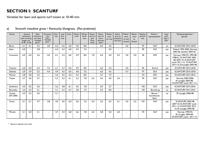# **SECTION I: SCANTURF**

Varieties for lawn and sports turf mown at 10-40 mm

| Variety            | lawn, mowing<br>height mm<br>10-40 10-20 | General<br>impression | Wear<br>tolerance,<br>recr. lawn<br>/ football<br>pitch* | Recovery,<br>recr.<br>lawn /<br>football<br>pitch * | Den-<br>sity | Leaf<br>fine-<br>ness | Color | Winter<br>color | Winter<br>hardi-<br>ness | Resist-<br>ance to<br>grey<br>snow<br>mold | Resist-<br>ance to<br>micro-<br>dochium<br>patch | Resist-<br>ance<br>to rust | Resist-<br>ance to<br>Drecslera<br>leaf spot | Resist-<br>ance<br>to red<br>thread | Resist-<br>ance<br>to<br>\$ spot | Relative<br>growth<br>rate | Owner /<br>representative        | Seed<br>avail-<br>able in<br>2021 | Testing programme /<br>period                                                                                                          |
|--------------------|------------------------------------------|-----------------------|----------------------------------------------------------|-----------------------------------------------------|--------------|-----------------------|-------|-----------------|--------------------------|--------------------------------------------|--------------------------------------------------|----------------------------|----------------------------------------------|-------------------------------------|----------------------------------|----------------------------|----------------------------------|-----------------------------------|----------------------------------------------------------------------------------------------------------------------------------------|
| Becca              | 6.1                                      | 6,1                   | 5.2                                                      | 2.8                                                 | 6,2          | 5,6                   | 6.0   | 5,0             | 8.0                      |                                            | 6.0                                              | 4.6                        |                                              | 5,0                                 | $\blacksquare$                   | 95                         | <b>DLF</b>                       | no                                | <b>SCANTURF 2015-2018</b>                                                                                                              |
| <b>Julius</b>      | 6,0                                      |                       | 5,8                                                      | $\blacksquare$                                      | 6,2          | 4,3                   | 6.0   | 4,3             | 7.4                      |                                            | $\overline{\phantom{a}}$                         | 4,0                        | $\blacksquare$                               | $\blacksquare$                      | $\overline{\phantom{a}}$         | 90                         | <b>DLF</b>                       | yes                               | Finland 1995-2002, Norway<br>2003-06, Sweden 2002-05                                                                                   |
| Limousine          | 6.0                                      | 6,0                   | 5.6                                                      | 4.0                                                 | 6.1          | 5,4                   | 6.0   | 4.9             | 8.0                      | 7.0                                        | 6.0                                              | 4.0                        | 5,5                                          | 5,0                                 | 5,0                              | 96                         | <b>DSV</b>                       | yes                               | Norway, 1990-93, 1995-98,<br>1998-01, SCANTURF 2005-<br>08. 2007-10. SCANTURF<br>south 2011-14, SCANTURF<br>2013-16, Ø.Ljungby 2005-08 |
| <b>Traction</b>    | 6,0                                      | 6,0                   | 5,4                                                      | 7,2                                                 | 6,1          | 5,7                   | 6,0   | 4,9             | 8,0                      | $\overline{a}$                             | 6.0                                              | 4,4                        |                                              | 5,0                                 | $\mathbf{r}$                     | 96                         | Everris                          | yes                               | <b>SCANTURF 2015-2018</b>                                                                                                              |
| Dakisha            | 5,9                                      | 5,9                   | 5,5                                                      | 4,4                                                 | 4,9          | 4,5                   | 6,0   | 4,8             | 7,6                      |                                            | 6.0                                              | 4,5                        |                                              | 4,7                                 |                                  | 97                         | <b>DLF</b>                       | yes                               | <b>SCANTURF 2015-2018</b>                                                                                                              |
| Markus             | 5,8                                      | 5,8                   | 5,5                                                      | $\blacksquare$                                      | 5,6          | 4,5                   | 6,0   | 5,4             | 8.0                      |                                            | 5.7                                              | 7,9                        |                                              | $\blacksquare$                      | $\sim$                           | 101                        | <b>DSV</b>                       | yes                               | <b>SCANTURF 2013-2016</b>                                                                                                              |
| Yvette             | 5,7                                      | 5,6                   | 5,7                                                      | $\blacksquare$                                      | 5,7          | 5,2                   | 6.1   | 5,2             | 7,8                      | 6,3                                        | 5.6                                              | 4,0                        | 5,4                                          | $\overline{\phantom{a}}$            | $\overline{\phantom{a}}$         | 95                         | <b>DLF</b>                       | yes                               | Norway 2003-2006,<br>Ø. Ljungby 2005-08,<br>SCANTURF south 2011-14                                                                     |
| Sombrero           | 5,5                                      | 5,5                   | 5,6                                                      | $\overline{a}$                                      | 5,2          | 4,8                   | 6.1   | 4,5             | 7,8                      | $\overline{\phantom{a}}$                   | 5,9                                              | 3,7                        |                                              | $\overline{\phantom{a}}$            | $\sim$                           | 105                        | <b>DLF</b>                       | yes                               | <b>SCANTURF 2013-2016</b>                                                                                                              |
| <b>Baranello</b>   | 5,4                                      | 5,4                   | 5,1                                                      | $\blacksquare$                                      | 5,1          | 4,3                   | 6,7   | 5,8             | 7,9                      |                                            | 5,9                                              | 8,0                        |                                              | $\sim$                              | $\sim$                           | 105                        | Barenbrug                        | no                                | <b>SCANTURF 2013-2016</b>                                                                                                              |
| Comet<br>(SR 2284) | 5,2                                      | 5,2                   | 4,5                                                      | $\blacksquare$                                      | 5,1          | $\blacksquare$        |       |                 |                          |                                            |                                                  |                            |                                              | $\overline{a}$                      | $\blacksquare$                   | $\blacksquare$             | Berner /<br>Scandinavian<br>Seed | no                                | Ø. Ljungby 2006-08                                                                                                                     |
| Conni              | 5.1                                      | 5,1                   | 4,7                                                      | 3.8                                                 | 4,9          | 4,6                   | 6.0   | 4,6             | 7.6                      | 6.4                                        | 5.5                                              | 4.3                        | 6.1                                          | 4,5                                 | 5,5                              | 101                        | <b>DLF</b>                       | yes                               | <b>SCANTURF 2005-08.</b><br>2007-10, SCANTURF south<br>2011-14. SCANTURF 2013-<br>16, Ø. Ljungby 2005-08                               |
| Miracle            | 5.1                                      | 5,0                   | 3,1                                                      | $\blacksquare$                                      | 4.7          | 4,4                   | 6.8   | 5,6             | 7,8                      | 6,4                                        | 5.8                                              | 5.0                        | 6.0                                          | $\sim$                              | $\blacksquare$                   | 93                         | <b>DLF</b>                       | yes                               | Norway 1990-93,<br>Ø. Ljungby 2006-08,<br>SCANTURF south 2011-14                                                                       |

#### a) Smooth meadow grass / Kentucky bluegrass (*Poa pratensis*)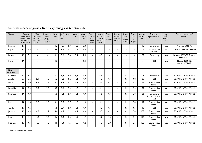| Variety                 | impression<br>lawn, mowing<br>height mm<br>$10-40$ $10-20$ | General        | Wear<br>tolerance,<br>recr. lawn<br>/ football<br>pitch* | Recovery,<br>recr.<br>lawn/<br>football<br>pitch * | Den-<br>sity | Leaf<br>fine-<br>ness | Color          | Winter<br>color | Winter<br>hardi-<br>ness | Resist-<br>ance to<br>grey<br>snow<br>mold | Resist-<br>ance to<br>micro-<br>dochium<br>patch | Resist-<br>ance<br>to rust | Resist-<br>ance to<br>Drecslera<br>leaf spot | Resist-<br>ance<br>to red<br>thread | Resist-<br>ance<br>to<br>\$ spot | Relative<br>growth<br>rate | Owner /<br>representative                  | Seed<br>avail-<br>able in<br>2021 | Testing programme /<br>period        |
|-------------------------|------------------------------------------------------------|----------------|----------------------------------------------------------|----------------------------------------------------|--------------|-----------------------|----------------|-----------------|--------------------------|--------------------------------------------|--------------------------------------------------|----------------------------|----------------------------------------------|-------------------------------------|----------------------------------|----------------------------|--------------------------------------------|-----------------------------------|--------------------------------------|
| <b>Baronial</b>         | 4,7                                                        | ٠              | $\blacksquare$                                           | $\blacksquare$                                     | 4,2          | 4,5                   | 6,0            | 4,8             | 8,0                      |                                            | $\blacksquare$                                   | $\blacksquare$             |                                              | $\blacksquare$                      | $\blacksquare$                   | 115                        | Barenbrug                                  | yes                               | Norway 2003-06                       |
| Opal                    | 4,5                                                        | 3,6            | $\overline{a}$                                           | $\blacksquare$                                     | 4,4          | 4,2                   | 6,3            | 3,9             | 7.5                      | $\overline{\phantom{0}}$                   | 7,0                                              | $\overline{\phantom{a}}$   |                                              | $\overline{\phantom{a}}$            | $\blacksquare$                   | 106                        | Lantmännen<br>Ek. För.                     | yes                               | Norway 1985-89, 1995-98              |
| Baron                   | 4,3                                                        | 3,9            | $\blacksquare$                                           | $\blacksquare$                                     | 4,1          | 3,6                   | 5,8            | 3,9             | 7,4                      | $\sim$                                     | 4,0                                              | $\blacksquare$             |                                              | $\sim$                              | $\sim$                           | 109                        | Barenbrug                                  | yes                               | Norway 1995-98, Finland<br>1995-2002 |
| Evora                   | 3,9                                                        | $\blacksquare$ | $\blacksquare$                                           | $\overline{\phantom{a}}$                           | 3,7          | $\blacksquare$        | $\blacksquare$ | $\blacksquare$  | 6,2                      | $\blacksquare$                             | $\blacksquare$                                   | $\overline{\phantom{a}}$   | $\blacksquare$                               | $\overline{\phantom{a}}$            | $\overline{\phantom{a}}$         | $\blacksquare$             | <b>DLF</b>                                 | yes                               | Finland 1995-02,<br>Sweden 2002-05   |
|                         |                                                            |                |                                                          |                                                    |              |                       |                |                 |                          |                                            |                                                  |                            |                                              |                                     |                                  |                            |                                            |                                   |                                      |
| <b>New</b><br>varieties |                                                            |                |                                                          |                                                    |              |                       |                |                 |                          |                                            |                                                  |                            |                                              |                                     |                                  |                            |                                            |                                   |                                      |
| <b>Barserati</b>        | 5,7                                                        | 5,7            | $\blacksquare$                                           | $\blacksquare$                                     | 6,2          | 4,4                   | 5,9            | 4,2             | 4,9                      | $\sim$                                     | 6,3                                              | 4,3                        | $\sim$                                       | 4,5                                 | 4,5                              | 105                        | Barenbrug                                  | yes                               | <b>SCANTURF 2019-2022</b>            |
| Anisha                  | 5,6                                                        | 5,6            | 5,1                                                      | 1,9                                                | 5,2          | 4,8                   | 6,2            | 4,4             | 4,9                      |                                            | 4,2                                              | 4,3                        |                                              | 4,5                                 | 4,8                              | 109                        | <b>DLF</b>                                 | yes                               | <b>SCANTURF 2019-2022</b>            |
| Hilda                   | 5,0                                                        | 5,0            | 4,9                                                      | 2,6                                                | 6,2          | 4,4                   | 6,7            | 5,4             | 4,3                      |                                            | 5,5                                              | 4,1                        |                                              | 4,5                                 | 5,5                              | 116                        | Scandinavian<br>Seeds                      | yes                               | <b>SCANTURF 2019-2022</b>            |
| Bluechip                | 5,0                                                        | 5,0            | 5,0                                                      | 2,5                                                | 5,8          | 3,6                   | 6.0            | 4,2             | 4,9                      | $\sim$                                     | 5,4                                              | 4,2                        | $\sim$                                       | 4,5                                 | 5,5                              | 102                        | Scandinavian<br>Seeds                      | no                                | <b>SCANTURF 2019-2022</b>            |
| Strenuus                | 4,9                                                        | 4,9            | $\blacksquare$                                           | $\blacksquare$                                     | 6.0          | 4,2                   | 6.0            | 4,4             | 4,9                      | $\blacksquare$                             | 5,5                                              | 4,3                        | $\sim$                                       | 4,5                                 | 5,0                              | 106                        | Landmark<br><b>Turf and Native</b><br>Seed | yes                               | <b>SCANTURF 2019-2022</b>            |
| Phily                   | 4,8                                                        | 4,8            | 5,2                                                      | 2,0                                                | 5.1          | 3,8                   | 6,7            | 4,2             | 4,3                      |                                            | 5,4                                              | 4,1                        | $\sim$                                       | 4,5                                 | 5,8                              | 112                        | Scandinavian<br>Seeds                      | no                                | <b>SCANTURF 2019-2022</b>            |
| Geisha                  | 4,6                                                        | 4,6            | $\blacksquare$                                           | $\overline{\phantom{a}}$                           | 5,0          | 3,9                   | 6,0            | 4,2             | 4,9                      | $\sim$                                     | 4,2                                              | 4,1                        | $\sim$                                       | 4,5                                 | 4,5                              | 112                        | <b>DLF</b>                                 | yes                               | <b>SCANTURF 2019-2022</b>            |
| Jackpot                 | 4,5                                                        | 4,5            | 4,8                                                      | 3,2                                                | 5,4          | 4,5                   | 6,1            | 4,9             | 4,3                      |                                            | 5,5                                              | 4,2                        |                                              | 4,5                                 | 5,8                              | 109                        | Scandinavian<br>Seeds                      | yes                               | <b>SCANTURF 2019-2022</b>            |
| Impact                  | 4.4                                                        | 4,4            | 4,8                                                      | 2,8                                                | 4.6          | 3,9                   | 7,5            | 4,5             | 4,9                      | $\overline{\phantom{a}}$                   | 5,2                                              | 4,0                        | $\blacksquare$                               | 4,5                                 | 5,4                              | 118                        | Scandinavian<br>Seeds                      | yes                               | <b>SCANTURF 2019-2022</b>            |
| Liberator               | 4,3                                                        | 4,3            | 4,6                                                      | 3,2                                                | 4,6          | 4,3                   | 7,6            | 4,6             | 4,2                      |                                            | 5,8                                              | 3,9                        |                                              | 4,4                                 | 5,5                              | 103                        | Scandinavian<br>Seeds                      | yes                               | <b>SCANTURF 2019-2022</b>            |

#### Smooth meadow grass / Kentucky bluegrass (continued)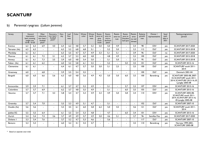#### b) Perennial ryegrass (*Lolium perenne*)

| Variety         | impression<br>lawn, mowing<br>height mm<br>$10-40$ $10-20$ | General | Wear<br>tolerance.<br>recr. lawn<br>football<br>pitch* | Recovery,<br>recr. lawn<br>football<br>pitch* | Den-<br>sity | Leaf<br>fine-<br>ness | Color | Winter<br>color | Winter<br>hardi-<br>ness | Resist-<br>ance to<br>grey<br>snow<br>mold | Resist-<br>ance to<br>micro-<br>dochium<br>patch | Resist-<br>ance to<br>rust | Resist-<br>ance to<br>Drecslera<br>leaf spot | Resist-<br>ance<br>to red<br>thread | Relative<br>growth<br>rate | Owner /<br>representative | Seed<br>avail-<br>able in<br>2021 | Testing programme /<br>period                                                                               |
|-----------------|------------------------------------------------------------|---------|--------------------------------------------------------|-----------------------------------------------|--------------|-----------------------|-------|-----------------|--------------------------|--------------------------------------------|--------------------------------------------------|----------------------------|----------------------------------------------|-------------------------------------|----------------------------|---------------------------|-----------------------------------|-------------------------------------------------------------------------------------------------------------|
| Eventus         | 6.3                                                        | 6,3     | 6.9                                                    | 4.0                                           | 6.4          | 6,2                   | 4,8   | 5,7             | 5,2                      | 5.0                                        | 5.0                                              | 4.9                        |                                              | 3,4                                 | 98                         | <b>DSV</b>                | yes                               | <b>SCANTURF 2017-2020</b>                                                                                   |
| Tetrastar (4x)  | 6,3                                                        | 6,3     | $\blacksquare$                                         |                                               | 6,3          | 5,2                   | 6,8   | 6,8             | 5,1                      |                                            | 5,2                                              | 5,0                        | $\sim$                                       | 3,3                                 | 112                        | <b>DLF</b>                | yes                               | <b>SCANTURF 2015-2018</b>                                                                                   |
| Mandalay        | 6,1                                                        | 6,1     | $\blacksquare$                                         |                                               | 6,3          | 5,5                   | 4,7   | 5.7             | 4,9                      | 3.3                                        | 5,1                                              | 5,1                        | $\sim$                                       | 3,9                                 | 96                         | <b>DLF</b>                | no                                | <b>SCANTURF 2017-2020</b>                                                                                   |
| Monroe          | 6,1                                                        | 6,1     | 7,2                                                    | 3.1                                           | 6,2          | 5,7                   | 5,3   | 6.0             | 4,8                      |                                            | 4.8                                              | 4,9                        |                                              | 3,3                                 | 100                        | <b>DLF</b>                | yes                               | <b>SCANTURF 2015-2018</b>                                                                                   |
| Annecy          | 6.1                                                        | 6.1     | 7,3                                                    | 3,5                                           | 5,9          | 6.0                   | 4,8   | 5,4             | 5,0                      |                                            | 5,1                                              | 5,0                        | $\mathbf{r}$                                 | 3,3                                 | 95                         | <b>DLF</b>                | yes                               | <b>SCANTURF 2015-2018</b>                                                                                   |
| Fabian (4x)     | 6,1                                                        | 6.1     | 6,2                                                    |                                               | 6,0          | 5,2                   | 5,8   | 6.1             | 5,5                      |                                            | 5,2                                              |                            | 5,0                                          | 3,5                                 | 101                        | <b>DLF</b>                | yes                               | <b>SCANTURF 2013-16</b>                                                                                     |
| Clementine      | 6,1                                                        | 6.1     |                                                        |                                               | 6.4          | 6.1                   | 4.7   | 5.7             | 5,0                      | 5.0                                        | 5,1                                              | 2.5                        |                                              | 3,5                                 | 100                        | <b>DLF</b>                | yes                               | SCANTURF south 2011-<br>2014                                                                                |
| Greenway        | 6,0                                                        | $\sim$  | 6,8                                                    |                                               | 5,9          | 5,5                   | 5,4   | 5,5             |                          |                                            | $\sim$                                           |                            | $\blacksquare$                               | $\sim$                              | 100                        | <b>DLF</b>                | yes                               | Denmark 2001-04                                                                                             |
| Bargold         | 6,0                                                        | 6,0     | 6,6                                                    | 5,6                                           | 6,3          | 6,0                   | 4,8   | 5,6             | 4,9                      | 4,5                                        | 5,0                                              | 5,0                        | 6,0                                          | 3,5                                 | 100                        | Barenbrug                 | yes                               | SCANTURF 2005-08, 2007-<br>10. SCANTURF south 2011-<br>2014, SCANTURF 2013-16, Ø.<br><b>Ljungby 2005-08</b> |
| Eurocordus      | 5,9                                                        | 5.9     | 7,1                                                    |                                               | 6,1          | 5.7                   | 4,7   | 5.2             | 4,9                      | $\blacksquare$                             | 5,1                                              |                            | 5.7                                          | 3,3                                 | 107                        | <b>DSV</b>                | yes                               | <b>SCANTURF 2013-16</b>                                                                                     |
| Columbine       | 5,7                                                        | 5.7     | 6,9                                                    |                                               | 6,2          | 5.7                   | 4,8   | 5,5             | 4,9                      |                                            | 5,1                                              |                            | 6.0                                          | 3,5                                 | 103                        | <b>DLF</b>                | yes                               | <b>SCANTURF 2013-16</b>                                                                                     |
| <b>Vesuvius</b> | 5,7                                                        | 5,7     | 7,1                                                    | 4.3                                           | 5,8          | 5.4                   | 4,7   | 5,3             | 4,9                      | 3,3                                        | 4,9                                              | 5.0                        | 5,8                                          | 3,4                                 | 110                        | <b>DSV</b>                | yes                               | <b>SCANTURF 2005-08.</b><br>SCANTURF south 2011-<br>2014, SCANTURF 2013-16,<br>Ø.Ljungby 2005-08            |
| Greensky        | 5,7                                                        | 5,4     | 7.0                                                    |                                               | 5,5          | 5,3                   | 4,9   | 5.1             | 4,7                      |                                            | 5,1                                              |                            | $\blacksquare$                               | $\sim$                              | 102                        | <b>DLF</b>                | yes                               | <b>SCANTURF 2007-10</b>                                                                                     |
| Double (4x)     | 5,6                                                        | 5,6     | $\blacksquare$                                         |                                               | 5,5          | 4,5                   | 6,1   | 6.0             | 5,8                      | 6,2                                        | 5,0                                              | 4,5                        |                                              | 4,6                                 | 2                          | <b>DLF</b>                | yes                               | SCANTURF south 2011-<br>2014                                                                                |
| Jubilee EG      | 5,5                                                        | 5,5     | 6,4                                                    |                                               | 6,1          | 5,5                   | 5,4   | 5,3             | 4,8                      |                                            | 4,7                                              |                            | 6.0                                          | 3,4                                 | 101                        | <b>DSV</b>                | yes                               | <b>SCANTURF 2013-16</b>                                                                                     |
| Zurich          | 5,4                                                        | 5,4     | 7,4                                                    | 3,6                                           | 5,7          | 4,9                   | 4,9   | 5,7             | 4,9                      | 5,0                                        | 4,6                                              | 5,1                        |                                              | 3,7                                 | 96                         | Semillas Fito             | yes                               | <b>SCANTURF 2017-2020</b>                                                                                   |
| Dickens         | 5,3                                                        | 5,4     | 7,6                                                    | $\sim$                                        | 5,7          | 5,2                   | 4,7   | 5,3             | 4,6                      | $\blacksquare$                             | 5,6                                              |                            | $\blacksquare$                               | $\mathbf{r}$                        | 117                        | <b>DLF</b>                | yes                               | <b>SCANTURF 2007-10</b>                                                                                     |
| <b>Bareuro</b>  | 5,3                                                        | 5,3     |                                                        |                                               | 6,0          | 5,2                   | 4,1   | 5.5             | 4,7                      |                                            | $\blacksquare$                                   |                            |                                              | 3,5                                 | 110                        | Barenbrug                 | yes                               | Norway 1999-2001,<br>SCANTURF 2005-08                                                                       |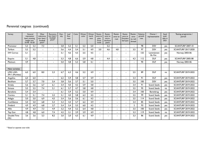| Variety                   | impression<br>lawn, mowing<br>height mm<br>10-40 10-20 | General        | Wear<br>tolerance.<br>recr. lawn<br>football<br>pitch* | Recovery.<br>recr. lawn<br>football<br>pitch* | Den-<br>sity | Leaf<br>fine-<br>ness | Color | Winter<br>color | Winter<br>hardi-<br>ness | Resist-<br>ance to<br>grey<br>snow<br>mold | Resist-<br>ance to<br>micro-<br>dochium<br>patch | Resist-<br>ance to<br>rust | Resist-<br>ance to<br><b>Drecslera</b><br>leaf spot | Resist-<br>ance<br>to red<br>thread | Relative<br>growth<br>rate | Owner /<br>representative | Seed<br>avail-<br>able in<br>2021 | Testing programme /<br>period |
|---------------------------|--------------------------------------------------------|----------------|--------------------------------------------------------|-----------------------------------------------|--------------|-----------------------|-------|-----------------|--------------------------|--------------------------------------------|--------------------------------------------------|----------------------------|-----------------------------------------------------|-------------------------------------|----------------------------|---------------------------|-----------------------------------|-------------------------------|
| Promotor                  | 5.3                                                    | 5,3            | 7.3                                                    | $\overline{a}$                                | 5.8          | 5,2                   | 5.1   | 5,3             | 5.0                      |                                            | 5.2                                              |                            |                                                     | $\sim$                              | 98                         | <b>DSV</b>                | yes                               | <b>SCANTURF 2007-10</b>       |
| Turfsun                   | 5,2                                                    | 5,2            | $\blacksquare$                                         | $\blacksquare$                                | 5,6          | 4,4                   | 5,4   | 5.1             | 4,9                      | 3,0                                        | 4,6                                              | 4,8                        |                                                     | 3,5                                 | 97                         | <b>DSV</b>                | yes                               | <b>SCANTURF 2017-2020</b>     |
| <b>SW Corvus</b>          | 5,1                                                    | $\blacksquare$ | $\overline{\phantom{0}}$                               |                                               | 5,1          | 4.6                   | 4.3   | 5.5             | 4,5                      |                                            | $\blacksquare$                                   |                            |                                                     | $\blacksquare$                      | 125                        | Lantmännen<br>Ek. För.    | yes                               | Norway 2003-06                |
| Esquire                   | 5.1                                                    | 4.8            | $\overline{\phantom{a}}$                               | $\blacksquare$                                | 5.3          | 4.8                   | 6.6   | 5,9             | 4.8                      |                                            | 4.4                                              | $\overline{\phantom{a}}$   |                                                     | 4.3                                 | 112                        | <b>DLF</b>                | yes                               | SCANTURF 2005-08              |
| Platinum                  | 4,9                                                    |                | $\overline{\phantom{a}}$                               |                                               | 5,0          | 4,8                   | 5,3   | 5,8             | 4,1                      |                                            | $\blacksquare$                                   |                            |                                                     | $\blacksquare$                      | 90                         | <b>DLF</b>                | yes                               | Norway 2003-06                |
|                           |                                                        |                |                                                        |                                               |              |                       |       |                 |                          |                                            |                                                  |                            |                                                     |                                     |                            |                           |                                   |                               |
| New varieties             |                                                        |                |                                                        |                                               |              |                       |       |                 |                          |                                            |                                                  |                            |                                                     |                                     |                            |                           |                                   |                               |
| LMG LGD-<br>3911 (Mumbai) | 6.0                                                    | 6.0            | 8.0                                                    | 2.3                                           | 6.7          | 6.3                   | 4.6   | 5,2             | 4,9                      | $\overline{\phantom{0}}$                   | $\blacksquare$                                   |                            |                                                     | 2,5                                 | 89                         | <b>DLF</b>                | no                                | <b>SCANTURF 2019-2022</b>     |
| Angelina                  | 6.0                                                    | 6.0            | $\blacksquare$                                         |                                               | 6.2          | 5.9                   | 4,8   | 5.7             | 4,9                      | $\blacksquare$                             | $\blacksquare$                                   |                            |                                                     | 3.4                                 | 91                         | <b>DLF</b>                | yes                               | <b>SCANTURF 2019-2022</b>     |
| <b>Beckham</b>            | 5.7                                                    | 5,7            | 7,0                                                    | 5.4                                           | 5,8          | 5,6                   | 3,7   | 5,1             | 5,0                      |                                            |                                                  |                            |                                                     | 3,5                                 | 100                        | <b>DSV</b>                | yes                               | <b>SCANTURF 2019-2022</b>     |
| Sirtaky                   | 5,6                                                    | 5,6            | 6.7                                                    | 6.1                                           | 5,4          | 4,0                   | 4,2   | 5,9             | 4,8                      |                                            |                                                  |                            |                                                     | 3.4                                 | 91                         | Scand. Seeds              | yes                               | <b>SCANTURF 2019-2022</b>     |
| <b>Strauss</b>            | 5,5                                                    | 5,5            | 7,4                                                    | 2,1                                           | 6.1          | 5,7                   | 4,7   | 5,8             | 4,8                      |                                            | ۰                                                |                            |                                                     | 3,5                                 | 95                         | Scand. Seeds              | no                                | <b>SCANTURF 2019-2022</b>     |
| Baradona                  | 5,4                                                    | 5,4            |                                                        |                                               | 6,1          | 5,9                   | 5,2   | 5,0             | 4,9                      |                                            | $\blacksquare$                                   |                            |                                                     | 3,4                                 | 100                        | Barenbrug                 | yes                               | <b>SCANTURF 2019-2022</b>     |
| Corsica                   | 5,1                                                    | 5,1            | 7,4                                                    | 2,2                                           | 5,1          | 4,0                   | 5,8   | 6,3             | 4,5                      | $\overline{a}$                             | $\blacksquare$                                   |                            |                                                     | 3,5                                 | 99                         | Scand. Seeds              | yes                               | <b>SCANTURF 2019-2022</b>     |
| Adagio                    | 5,0                                                    | 5,0            | 6,9                                                    | 4,5                                           | 5,4          | 5,6                   | 5,6   | 6,1             | 4,5                      |                                            | $\blacksquare$                                   |                            |                                                     | 3,5                                 | 114                        | Scand. Seeds              | yes                               | <b>SCANTURF 2019-2022</b>     |
| Confidence                | 5,0                                                    | 5,0            | 6.8                                                    | 5.3                                           | 5,3          | 4.4                   | 5,7   | 6,2             | 4,9                      |                                            | $\blacksquare$                                   |                            |                                                     | 3,4                                 | 85                         | Scand. Seeds              | yes                               | <b>SCANTURF 2019-2022</b>     |
| Firebird                  | 4.9                                                    | 4,9            | 6.8                                                    | 2,7                                           | 5,4          | 5.4                   | 5,5   | 6.0             | 4,5                      | $\overline{a}$                             | $\blacksquare$                                   |                            |                                                     | $\overline{2}$                      | 93                         | Scand. Seeds              | yes                               | <b>SCANTURF 2019-2022</b>     |
| Allie                     | 4,9                                                    | 4,9            | 7,3                                                    | 4,9                                           | 5,2          | 4,4                   | 5,2   | 6,4             | 4,8                      | $\overline{\phantom{0}}$                   | $\overline{\phantom{a}}$                         |                            | $\sim$                                              | 3,5                                 | 100                        | Scand. Seeds              | yes                               | <b>SCANTURF 2019-2022</b>     |
| Top Gun                   | 4,8                                                    | 4,8            | 6,0                                                    | 7,4                                           | 4,2          | 3,1                   | 3,9   | 5,9             | 4,9                      | $\overline{\phantom{0}}$                   | $\blacksquare$                                   |                            |                                                     | 3,3                                 | 119                        | Scand. Seeds              | no                                | <b>SCANTURF 2019-2022</b>     |
| Double Time<br>(4n)       | 3,6                                                    | 3,6            | 5,3                                                    | 8,2                                           | 3,0          | 2,0                   | 6,5   | 6.1             | 4,9                      | $\blacksquare$                             | $\overline{\phantom{0}}$                         | $\blacksquare$             |                                                     | 3,3                                 | 86                         | Scand. Seeds              | yes                               | <b>SCANTURF 2019-2022</b>     |

#### Perennial ryegrass (continued)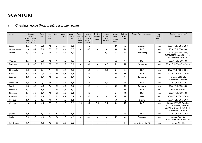#### c) Chewings fescue (*Festuca rubra* ssp. *commutata*)

| Variety          | lawn, mowing<br>height mm | General<br>impression<br>10-40 10-20 | Den-<br>sity | Leaf<br>fine-<br>ness | Color | Winter<br>color | Winter<br>hardi-<br>ness | Resist-<br>ance to<br>grey<br>snow<br>mold | Resist-<br>ance to<br>micro-<br>dochium<br>patch | Resist-<br>ance to<br>rust | Resist-<br>ance to<br><b>Drecslera</b><br>leaf spot | Resist-<br>ance<br>to red<br>thread | Relative<br>growth<br>rate | Owner / representative | Seed<br>avail-<br>able in<br>2021 | Testing programme /<br>period                                                                             |
|------------------|---------------------------|--------------------------------------|--------------|-----------------------|-------|-----------------|--------------------------|--------------------------------------------|--------------------------------------------------|----------------------------|-----------------------------------------------------|-------------------------------------|----------------------------|------------------------|-----------------------------------|-----------------------------------------------------------------------------------------------------------|
| Lystig           | 6,6                       | 6,4                                  | 7,0          | 7,5                   | 6,1   | 5,7             | 6,0                      |                                            | 5,8                                              |                            |                                                     | 4,9                                 | 98                         | Graminor               | yes                               | <b>SCANTURF 2015-2018</b>                                                                                 |
| Greensleeves     | 6,6                       | 6,1                                  | 7,0          | 7,5                   | 6,5   | 6.4             | 5,7                      | $\overline{a}$                             | 4,8                                              |                            |                                                     | 3,8                                 | 94                         | <b>DLF</b>             | yes                               | SCANTURF 2005-08                                                                                          |
| Musica           | 6,5                       | 6,3                                  | 7,1          | 7,4                   | 6,3   | 6,6             | 5,6                      | $\overline{a}$                             | 6,0                                              |                            | 6,0                                                 | 5,7                                 | 99                         | Barenbrug              | yes                               | Ø.Ljungby 2005-2008,<br>SCANTURF south 2010-14,<br><b>SCANTURF 2013-16</b>                                |
| Wagner           | 6,5                       | 6,1                                  | 7,0          | 7,5                   | 7,4   | 6,2             | 6,6                      | $\blacksquare$                             | 6,3                                              |                            |                                                     | 6,2                                 | 107                        | <b>DLF</b>             | yes                               | <b>SCANTURF 2005-08</b>                                                                                   |
| <b>Barlineus</b> | 6,4                       | 6,3                                  | 7,2          | 7,7                   | 6,3   | 5,9             | 5,6                      |                                            | 6,1                                              |                            | 6.0                                                 | 5,1                                 | 91                         | Barenbrug              | yes                               | SCANTURF 2007-10, 2013-<br>16                                                                             |
| Greenmile        | 6,4                       | 6,2                                  | 7,1          | 7,4                   | 6,3   | 6,7             | 5,6                      | $\sim$                                     | 6,0                                              | $\overline{a}$             | 5,9                                                 | 5,4                                 | 100                        | <b>DLF</b>             | yes                               | <b>SCANTURF 2013-2016</b>                                                                                 |
| <b>Siskin</b>    | 6,3                       | 6,1                                  | 7,0          | 7,3                   | 6,6   | 6,8             | 5,4                      | $\overline{a}$                             | 6,1                                              |                            |                                                     | 5,9                                 | 93                         | <b>DLF</b>             | yes                               | <b>SCANTURF 2017-2020</b>                                                                                 |
| <b>Bargreen</b>  | 6,3                       | 6,3                                  | 6,9          | 7,5                   | 6,3   | 6,2             | 5,7                      |                                            | 3,2                                              |                            |                                                     | 6,7                                 | 101                        | Barenbrug              | yes                               | Sweden 2002-05,<br>SCANTURF 2005-08                                                                       |
| Humboldt         | 6,3                       | 6,1                                  | 7,1          | 7,5                   | 6,3   | 6,5             | 5,3                      | $\blacksquare$                             | 5.6                                              |                            | 5,9                                                 | 6,1                                 | 93                         | <b>DLF</b>             | yes                               | <b>SCANTURF 2013-2016</b>                                                                                 |
| <b>Bardiva</b>   | 6,3                       | 6,0                                  | 6,8          | 7,6                   | 6,5   | 6,2             | 5,5                      |                                            | 3,3                                              |                            | $\blacksquare$                                      | 5.3                                 | 95                         | Barenbrug              | yes                               | <b>SCANTURF 2005-08</b>                                                                                   |
| Blenheim         | 6,1                       | $\blacksquare$                       | 6,4          | 7,7                   | 6,5   | 5,7             | 6,1                      | $\blacksquare$                             | $\overline{a}$                                   |                            | $\blacksquare$                                      |                                     | 99                         | <b>DLF</b>             | no                                | Norway 2003-06                                                                                            |
| Capriccio        | 6,1                       | 5,7                                  | 6.9          | 7,5                   | 6,2   | 6,5             | 6.3                      |                                            | 4.8                                              |                            |                                                     | 6.4                                 | 94                         | <b>DLF</b>             | yes                               | <b>SCANTURF 2005-08</b>                                                                                   |
| Annalena         | 6,1                       | 5,9                                  | 6,9          | 7.1                   | 6,9   | 6,2             | 5,4                      | $\blacksquare$                             | 5,9                                              |                            | $\blacksquare$                                      | 4,7                                 | 92                         | <b>DSV</b>             | yes                               | <b>SCANTURF 2017-2020</b>                                                                                 |
| <b>Rubicus</b>   | 6,0                       | 6,0                                  | 6,5          | 7,0                   | 7,4   | 6,2             | 5,4                      | $\blacksquare$                             | 5,5                                              |                            | $\blacksquare$                                      | 5,0                                 | 98                         | Everris                | yes                               | <b>SCANTURF 2015-2018</b>                                                                                 |
| Calliope         | 6,0                       | 5,7                                  | 6,5          | 7,5                   | 6,1   | 5,5             | 5,2                      | 6,5                                        | 5,7                                              | 5,0                        | 5,9                                                 | 4,4                                 | 97                         | <b>DLF</b>             | yes                               | Finland 1995-02, Sweden<br>2002-05, Norway 2003-06,<br>SCANTURF south 2010-14,<br><b>SCANTURF 2013-16</b> |
| Joanna           | 5,9                       | 6,0                                  | 6,5          | 7,1                   | 7,3   | 6,2             | 5.3                      | $\blacksquare$                             | 6.1                                              |                            | $\blacksquare$                                      | 5,2                                 | 98                         | <b>DSV</b>             | yes                               | <b>SCANTURF 2015-2018</b>                                                                                 |
| Linda            | 5,9                       | 5,5                                  | 6,6          | 7,4                   | 6,0   | 5,8             | 6,2                      | $\blacksquare$                             | 6,4                                              |                            | $\overline{\phantom{a}}$                            | 4,5                                 | 104                        | Graminor               | yes                               | Norway 2003-06,<br>SCANTURF south 2007-10                                                                 |
| SW Cygnus        | 5,7                       | $\overline{a}$                       | 5,4          | 7,6                   | 6,3   | 5,5             | 6,5                      | $\blacksquare$                             |                                                  |                            |                                                     | $\blacksquare$                      | 104                        | Lantmännen Ek. För.    | yes                               | Norway 2003-06                                                                                            |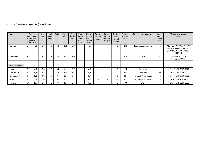#### c) Chewings fescue (continued)

| Variety              |     | General<br>impression<br>lawn, mowing<br>height mm<br>$10-40$ $10-20$ | Den-<br>sity | Leaf<br>fine-<br>ness | Color | Winter<br>color | Winter<br>hardi-<br>ness | Resist-<br>ance to<br>grey<br>snow<br>mold | Resist-<br>ance to<br>micro-<br>dochium<br>patch | Resist-<br>ance to<br>rust | Resist-<br>ance to<br>Drecslera<br>leaf spot | Resist-<br>ance<br>to red<br>thread | Relative<br>growth<br>rate | Owner / representative | Seed<br>avail-<br>able in<br>2021 | Testing programme /<br>period                                                           |
|----------------------|-----|-----------------------------------------------------------------------|--------------|-----------------------|-------|-----------------|--------------------------|--------------------------------------------|--------------------------------------------------|----------------------------|----------------------------------------------|-------------------------------------|----------------------------|------------------------|-----------------------------------|-----------------------------------------------------------------------------------------|
| Wilma                | 5.6 | 4,8                                                                   | 5.8          | 6.9                   | 6,5   | 5.8             | 5.9                      |                                            | 4.9                                              | $\overline{\phantom{a}}$   | $\overline{\phantom{0}}$                     | 3,5                                 | 118                        | Lantmännen Ek. För.    | yes                               | Norway 1990-93, 1995-98,<br>1999-01, Sweden 2002-05,<br>SCANTURF 2005-08 and<br>2007-10 |
| Casanova             | 5.1 | ۰                                                                     | 5.4          | 7,5                   | 6,3   | 5,7             | 6.0                      |                                            | $\overline{\phantom{0}}$                         | $\overline{\phantom{0}}$   | $\overline{\phantom{a}}$                     |                                     | 125                        | <b>DLF</b>             | yes                               | Sweden 2002-05,<br>Norway 2003-06                                                       |
|                      |     |                                                                       |              |                       |       |                 |                          |                                            |                                                  |                            |                                              |                                     |                            |                        |                                   |                                                                                         |
| <b>New varieties</b> |     |                                                                       |              |                       |       |                 |                          |                                            |                                                  |                            |                                              |                                     |                            |                        |                                   |                                                                                         |
| Lykke                | 6,3 | 6,0                                                                   | 6,8          | 7,5                   | 6,7   | 6,1             | 5.7                      |                                            | 6,4                                              | $\overline{\phantom{a}}$   | $\blacksquare$                               | 5.8                                 | 98                         | Graminor               | no                                | <b>SCANTURF 2019-2022</b>                                                               |
| LøRc0010             | 6,2 | 5.9                                                                   | 6,5          | 7.4                   | 6.9   | 5,6             | 5.7                      |                                            | 5.7                                              | $\overline{\phantom{a}}$   | $\blacksquare$                               | 5.7                                 | 110                        | Graminor               | no                                | <b>SCANTURF 2019-2022</b>                                                               |
| Compass II           | 6,1 | 5,8                                                                   | 6,2          | 7,0                   | 7,4   | 6,1             | 5.1                      | $\overline{\phantom{a}}$                   | 5,7                                              | $\overline{\phantom{0}}$   | $\sim$                                       | 5.7                                 | 104                        | Mountain View Seeds    | yes                               | <b>SCANTURF 2019-2022</b>                                                               |
| Kalle                | 5,9 | 5.6                                                                   | 6,0          | 7,3                   | 6,6   | 6,7             | 5,1                      | $\blacksquare$                             | 6,6                                              | $\overline{\phantom{a}}$   | $\sim$                                       | 5,8                                 | 0                          | Scandinavian Seeds     | yes                               | <b>SCANTURF 2019-2022</b>                                                               |
| Riparia              | 5,8 | 5,5                                                                   | 6.0          | 7.0                   | 7,4   | 6.1             | 5.6                      |                                            | 6.6                                              | $\overline{\phantom{a}}$   | $\overline{\phantom{0}}$                     | 4.3                                 | 98                         | <b>DLF</b>             | yes                               | <b>SCANTURF 2019-2022</b>                                                               |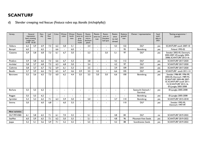d) Slender creeping red fescue (*Festuca rubra* ssp. *litoralis (trichophylla)*)

| Variety              | lawn, mowing<br>height mm<br>$10-40$ $10-20$ | General<br>impression | Den-<br>sity | Leaf<br>fine-<br>ness | Color                    | Winter<br>color          | Winter<br>hardi-<br>ness | Resist-<br>ance to<br>grey<br>snow<br>mold | Resist-<br>ance to<br>micro-<br>dochium<br>patch | Resist-<br>ance to<br>rust | Resist-<br>ance to<br><b>Drecslera</b><br>leaf spot | Resist-<br>ance<br>to red<br>thread | Relative<br>growth<br>rate | Owner / representative           | Seed<br>avail-<br>able in<br>2021 | Testing programme /<br>period                                                                                                                                |
|----------------------|----------------------------------------------|-----------------------|--------------|-----------------------|--------------------------|--------------------------|--------------------------|--------------------------------------------|--------------------------------------------------|----------------------------|-----------------------------------------------------|-------------------------------------|----------------------------|----------------------------------|-----------------------------------|--------------------------------------------------------------------------------------------------------------------------------------------------------------|
| Valdora              | 6,2                                          | 5,9                   | 6,9          | 7,3                   | 6,2                      | 5,8                      | 5,1                      |                                            | 3,4                                              | $\overline{a}$             | $\blacksquare$                                      | 4,3                                 | 122                        | <b>DLF</b>                       | yes                               | SCANTURF south 2007-10                                                                                                                                       |
| Baroyal              | 6,0                                          |                       | 6,5          |                       | 6,6                      |                          | 6,0                      |                                            |                                                  | $\blacksquare$             | $\blacksquare$                                      | $\blacksquare$                      | 95                         | Barenbrug                        | yes                               | <b>Finland 1995-02</b>                                                                                                                                       |
| Cezanne              | 5,9                                          | 5,8                   | 6,8          | 7,3                   | 6,1                      | 6,7                      | 5,0                      | $\blacksquare$                             | 5,3                                              | $\blacksquare$             | 5,0                                                 | 5,1                                 | 97                         | <b>DLF</b>                       | yes                               | Sweden 2002-05, Denmark,<br>2004-2007, Ø.Ljungby 2005-<br>2008, SCANTURF 2013-16                                                                             |
| Pinafore             | 5,9                                          | 5,8                   | 6,6          | 7,3                   | 6.6                      | 6,7                      | 5,3                      | ٠                                          | 3,8                                              | $\blacksquare$             | $\overline{a}$                                      | 4,2                                 | 112                        | <b>DLF</b>                       | yes                               | <b>SCANTURF 2017-2020</b>                                                                                                                                    |
| Archibal             | 5,8                                          | 5,7                   | 6,8          | 7,3                   | 6,3                      | 6,8                      | 5,0                      |                                            | 3,4                                              |                            |                                                     | 4,2                                 | 97                         | <b>DLF</b>                       | yes                               | <b>SCANTURF 2017-2020</b>                                                                                                                                    |
| Cathrine             | 5,8                                          | 5,7                   | 6,7          | 7,2                   | 6,9                      | 6.1                      | 5,3                      |                                            | 3,5                                              |                            | $\blacksquare$                                      | 3,9                                 | 109                        | <b>DSV</b>                       | yes                               | <b>SCANTURF 2017-2020</b>                                                                                                                                    |
| Beudin               | 5,7                                          | 5,9                   | 6,6          | 7,3                   | 6,5                      | 6,7                      | 4,6                      | 3,9                                        | 3,5                                              | 4,2                        | $\sim$                                              | 6.6                                 | 105                        | <b>DLF</b>                       | yes                               | SCANTURF south 2011-14                                                                                                                                       |
| Barcrown             | 5,5                                          | 5,6                   | 6.5          | 7,3                   | 6,0                      | 6,2                      | 4.4                      | 3.5                                        | 3,5                                              | 5.0                        | 5,0                                                 | 6.6                                 | 100                        | Barenbrug                        | yes                               | Sweden 1986-89, 1996-99,<br>2002-05, Denmark 1989-93,<br>SCANTURF 2005-08, 2007-<br>10, SCANTURF south 2011-<br>14. SCANTURF 2013-16.<br>Ø.Ljungby 2005-2008 |
| Borluna              | 5,5                                          | 5,5                   | 6.2          |                       |                          |                          |                          |                                            | $\overline{\phantom{0}}$                         |                            | $\blacksquare$                                      | ۰                                   |                            | Saatzucht Steinach /<br>Germinal | yes                               | Ø.Ljungby 2005-2008                                                                                                                                          |
| Reggae               | 5,5                                          | 5,5                   | 6,2          | $\overline{a}$        | $\overline{\phantom{a}}$ | $\overline{\phantom{a}}$ |                          | $\blacksquare$                             | $\overline{a}$                                   | $\blacksquare$             | $\blacksquare$                                      | $\blacksquare$                      | $\blacksquare$             | Barenbrug                        | yes                               | Ø.Ljungby 2005-2008                                                                                                                                          |
| Sprinkler            | 5,3                                          | 5,3                   | 6,2          | 7,1                   | 6,3                      | 5,9                      | 5,0                      |                                            | 5.0                                              |                            | $\overline{a}$                                      | 3,7                                 | 110                        | Barenbrug                        | yes                               | <b>SCANTURF 2015-2018</b>                                                                                                                                    |
| Smirna               | 5,0                                          | $\blacksquare$        | 6.0          | 6.8                   | $\blacksquare$           | 6.0                      | 5,5                      | $\blacksquare$                             | $\blacksquare$                                   | $\blacksquare$             | $\overline{\phantom{a}}$                            | $\overline{\phantom{a}}$            | 110                        | <b>DLF</b>                       | yes                               | Sweden 1992-95.<br>Denmark 1997-99                                                                                                                           |
|                      |                                              |                       |              |                       |                          |                          |                          |                                            |                                                  |                            |                                                     |                                     |                            |                                  |                                   |                                                                                                                                                              |
| <b>New varieties</b> |                                              |                       |              |                       |                          |                          |                          |                                            |                                                  |                            |                                                     |                                     |                            |                                  |                                   |                                                                                                                                                              |
| DLF FRT-4582         | 6,1                                          | 5,8                   | 6,5          | 7,1                   | 6,1                      | 7,0                      | 5,5                      | $\blacksquare$                             | 5,1                                              | $\blacksquare$             | $\blacksquare$                                      | 4,8                                 | 84                         | <b>DLF</b>                       | no                                | <b>SCANTURF 2019-2022</b>                                                                                                                                    |
| SeaMist              | 6,0                                          | 5,9                   | 6,5          | 7,1                   | 6,2                      | 5,0                      | 5,5                      |                                            | 5,1                                              | $\blacksquare$             | $\blacksquare$                                      | 4,8                                 | 96                         | <b>Mountain View Seeds</b>       | yes                               | <b>SCANTURF 2019-2022</b>                                                                                                                                    |
| Joppa                | 5,2                                          | 5,1                   | 5,6          | 5,9                   | 7,1                      | 5.2                      | 5,5                      |                                            | 5,5                                              |                            |                                                     | 4,2                                 | 88                         | Scandinavian Seeds               | yes                               | <b>SCANTURF 2019-2022</b>                                                                                                                                    |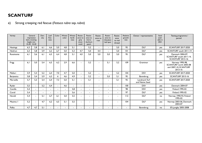#### e) Strong creeping red fescue (*Festuca rubra* ssp. *rubra*)

| Variety    | lawn, mowing<br>height mm<br>$10-40$ $10-20$ | General<br>impression    | Den-<br>sity   | Leaf<br>fine-<br>ness | Color                    | Winter<br>color          | Winter<br>hardi-<br>ness | Resist-<br>ance to<br>grey<br>snow<br>mold | Resist-<br>ance to<br>micro-<br>dochium<br>patch | Resist-<br>ance to<br>rust | Resist-<br>ance to<br><b>Drecslera</b><br>leaf spot | Resist-<br>ance<br>to red<br>thread | Relative<br>growth<br>rate | Owner / representative           | Seed<br>avail-<br>able in<br>2021 | Testing programme /<br>period                                                     |
|------------|----------------------------------------------|--------------------------|----------------|-----------------------|--------------------------|--------------------------|--------------------------|--------------------------------------------|--------------------------------------------------|----------------------------|-----------------------------------------------------|-------------------------------------|----------------------------|----------------------------------|-----------------------------------|-----------------------------------------------------------------------------------|
| Hastings   | 6,3                                          | 5,8                      | 6.1            | 6.6                   | 5,0                      | 4.8                      | 5,1                      |                                            | 5.2                                              |                            |                                                     | 5.0                                 | 95                         | <b>DLF</b>                       | yes                               | <b>SCANTURF 2017-2020</b>                                                         |
| Heidrun    | 6,3                                          | 5,8                      | 5,9            | 6,2                   | 6,7                      | 5,0                      | 5,3                      | 4,7                                        | 5,0                                              | 4,4                        |                                                     | 5.0                                 | 101                        | <b>DLF</b>                       | yes                               | SCANTURF south 2011-14                                                            |
| Rossinante | 6,1                                          | 5,6                      | 6,1            | 6,5                   | 6,4                      | 4,8                      | 5,1                      | 4,0                                        | 5.0                                              | 5.0                        | 5.0                                                 | 5,0                                 | 95                         | <b>DLF</b>                       | yes                               | Denmark 2004-07,<br>SCANTURF south 2011-14,<br><b>SCANTURF 2013-16</b>            |
| Frigg      | 6,1                                          | 5,0                      | 5.4            | 6,5                   | 6,2                      | 2.9                      | 6.6                      | $\blacksquare$                             | 5,2                                              | $\sim$                     | 5.1                                                 | 5.2                                 | 109                        | Graminor                         | yes                               | Norway 1995-98,<br>SCANTURF north 2005-08<br>and 2007-10, SCANTURF<br>$2013 - 16$ |
| Mellori    | 5,9                                          | 5,4                      | 5,2            | 6,4                   | 7,0                      | 4,7                      | 5.0                      | $\sim$                                     | 5,2                                              | $\overline{\phantom{a}}$   |                                                     | 5,2                                 | 104                        | <b>DSV</b>                       | yes                               | <b>SCANTURF 2017-2020</b>                                                         |
| Barjessica | 5,8                                          | 5,4                      | 5,9            | 6,3                   | 6                        | 4,6                      | 4,9                      | $\sim$                                     | 5,2                                              | $\sim$                     | 5,0                                                 | 5,1                                 | 95                         | Barenbrug                        | yes                               | <b>SCANTURF 2013-16</b>                                                           |
| Merveille  | 5,7                                          | 5,3                      | 5,4            | 6,4                   | 7,3                      | 5,0                      | 5,1                      |                                            | 5,1                                              | $\overline{\phantom{a}}$   |                                                     | 5,1                                 | 92                         | Landmark Turf<br>and Native Seed | yes                               | <b>SCANTURF 2017-2020</b>                                                         |
| Ryder      | 5,5                                          | $\sim$                   | 5,2            | 6.4                   | $\overline{\phantom{0}}$ | 4,6                      |                          | $\sim$                                     | $\blacksquare$                                   | $\blacksquare$             |                                                     | $\blacksquare$                      | 100                        | <b>DSV</b>                       | yes                               | <b>Denmark 2004-07</b>                                                            |
| Camilla    | 5,4                                          | $\overline{\phantom{a}}$ |                |                       | $\overline{a}$           | $\overline{\phantom{0}}$ | 5,8                      | $\sim$                                     | $\blacksquare$                                   | $\blacksquare$             |                                                     |                                     | 98                         | <b>DSV</b>                       | yes                               | <b>Finland 1995-02</b>                                                            |
| Corail     | 5,4                                          | $\blacksquare$           | $\blacksquare$ |                       | $\blacksquare$           | $\blacksquare$           | 5,6                      | $\sim$                                     | $\blacksquare$                                   | $\blacksquare$             | $\sim$                                              |                                     | 97                         | <b>DLF</b>                       | yes                               | Finland 1995-02                                                                   |
| Herald     | 5,4                                          | $\blacksquare$           | 5,1            | 6,7                   | 6,1                      | 5,0                      | 5,5                      | $\sim$                                     | $\blacksquare$                                   | $\blacksquare$             |                                                     |                                     | 112                        | <b>DLF</b>                       | no                                | Norway 1990-93, Finland<br>1995-02                                                |
| Maxima     | 5,2                                          | $\overline{\phantom{a}}$ | 4,7            | 6,2                   | 6,5                      | 5,1                      | 5,5                      | $\blacksquare$                             | $\overline{\phantom{0}}$                         | $\overline{\phantom{a}}$   |                                                     | $\overline{\phantom{0}}$            | 104                        | <b>DLF</b>                       | yes                               | Norway 2003-06, Denmark<br>2004-07                                                |
| Polka      | 4,7                                          | 4,7                      | 5,1            |                       |                          |                          |                          |                                            |                                                  |                            |                                                     |                                     |                            | Barenbrug                        | no                                | Ø.Ljungby 2005-2008                                                               |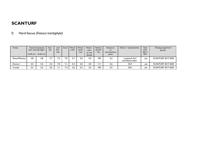#### f) Hard fescue (*Festuca trachyphyla*)

| Variety       |     | General impression<br>lawn, mowing height<br>$10-40$ mm $10-20$ mm | Den-<br>sity | Leaf<br>fine-<br>ness | Color | Winter<br>color | Winter<br>hardi-<br>ness | Resist-<br>ance<br>to red<br>thread | Relative<br>growth<br>rate | Resistance<br>to<br>microdochium<br>patch | Owner / representative           | Seed<br>avail-<br>able in<br>2021 | Testing programme /<br>period |
|---------------|-----|--------------------------------------------------------------------|--------------|-----------------------|-------|-----------------|--------------------------|-------------------------------------|----------------------------|-------------------------------------------|----------------------------------|-----------------------------------|-------------------------------|
| Shaun/Minimus | 5.8 | 5,8                                                                | 5.7          | 7.2                   | 7.0   | 5.7             | 5.0                      | 5.0                                 | 100                        | 5,2                                       | Landmark Turf<br>and Native Seed | yes                               | <b>SCANTURF 2017-2020</b>     |
| Dumas i       | 5,5 | 5,5                                                                | 5,5          | 7,0                   |       | 5,3             | 5,0                      | 5,0                                 | Ш                          | 5,6                                       | <b>DLF</b>                       | yes                               | <b>SCANTURF 2017-2020</b>     |
| Crystal       | 5,3 | 5,3                                                                | 5,0          |                       | 7.4   | 5,6             | 5,5                      | 5,5                                 | 100                        | 5,5                                       | <b>DLF</b>                       | yes                               | <b>SCANTURF 2017-2020</b>     |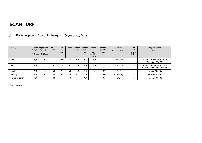| Variety         | lawn, mowing height | General impression<br>$10-40$ mm $10-20$ mm | Den-<br>sity | Leaf<br>fine-<br>ness | Color | Winter<br>color | Winter<br>hardi-<br>ness | Resist-<br>ance to<br>micro-<br>dochium<br>patch | Relative<br>growth<br>rate | Owner /<br>representative | Seed<br>avail-<br>able in<br>2021 | Testing programme /<br>period                        |
|-----------------|---------------------|---------------------------------------------|--------------|-----------------------|-------|-----------------|--------------------------|--------------------------------------------------|----------------------------|---------------------------|-----------------------------------|------------------------------------------------------|
| Leirin          | 6,6                 | 6.2                                         | 7,3          | 6.0                   | 6,0   | 3,2             | 6,7                      | 5,0                                              | I 18                       | Graminor                  | yes                               | SCANTURF north 2005-08,<br>Norway 1995-98            |
| <b>Nor</b>      | 6,4                 | 5.2                                         | 6.5          | 5.8                   | 6,2   | 3.3             | 7,0                      | 6.0                                              | 115                        | Graminor                  | yes                               | SCANTURF north 2005-08,<br>Norway 2003-2006, 1999-02 |
| Jorvik          | 5,8                 |                                             | 6.8          | 6,4                   | 6,0   | 4,8             | 5,0                      |                                                  | 98                         | <b>DLF</b>                | yes                               | Norway 2002-06                                       |
| <b>Barking</b>  | 5,6                 | 6.2                                         | 6.5          | 6,4                   | 5,9   | 5,1             | 4.0                      |                                                  | 95                         | Barenbrug                 | yes                               | Norway 1999-02                                       |
| Highland bent * | 4,9                 |                                             | 4,8          |                       | 5,0   |                 | 4,0                      |                                                  | 105                        | <b>DLF</b>                | yes                               | Norway 1981-85                                       |

g) Browntop bent / colonial bentgrass (*Agrostis capillaris*)

 *\* Agrostis castellana*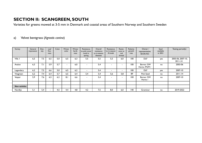# **SECTION II: SCANGREEN, SOUTH**

Varieties for greens mowed at 3-5 mm in Denmark and coastal areas of Southern Norway and Southern Sweden

#### a) Velvet bentgrass (*Agrostis canina*)

| Variety              | General<br>impression | Den-<br>sity | Leaf<br>fine-<br>ness | Color | Winter<br>color | Winter<br>hardi-<br>ness | Resistance<br>to pink snow<br>mold in<br>spring | Overall<br>resistance<br>to in-season<br>diseases | Resistance<br>to in-season<br>M.nivale | Resist-<br>ance to<br>red<br>thread | Relative<br>growth<br>rate | Owner /<br>representative<br>SE/DK/NO | Seed<br>available<br>in 2021 | Testing period(s)                |
|----------------------|-----------------------|--------------|-----------------------|-------|-----------------|--------------------------|-------------------------------------------------|---------------------------------------------------|----------------------------------------|-------------------------------------|----------------------------|---------------------------------------|------------------------------|----------------------------------|
| Villa I              | 6,5                   | 7,5          | 6,5                   | 5,0   | 6,5             | 6,3                      | 5,5                                             | 5,5                                               | 5,5                                    | 6,0                                 | 100                        | <b>DLF</b>                            | yes                          | 2003-06, 2007-10,<br>$2011 - 14$ |
| Avalon               | 6,3                   | 7,1          | 5.9                   | 5,7   |                 | 6.0                      |                                                 | 5,4                                               |                                        | ۰                                   | 100                        | Berner /SW<br>Horto /PGM /            | no                           | 2003-06                          |
| Legendary            | 6,2                   | 7,5          | 6.6                   | 5.0   | 6,5             | 6,2                      | -                                               | 5,4                                               |                                        | $\overline{\phantom{0}}$            | 100                        | <b>DLF</b>                            | yes                          | 2007-10                          |
| Vitagreen            | 6,2                   | 7,4          | 6,4                   | 5,7   | 6,5             | 6.4                      | 5.4                                             | 5,4                                               | 5,6                                    | 5,8                                 | 89                         | <b>Pick Seed</b>                      | no                           | $2011 - 14$                      |
| Vesper               | 5,9                   | 7,6          | 6,5                   | 6,2   | 8.1             | 6.6                      |                                                 | 5,4                                               | $\blacksquare$                         | $\overline{\phantom{a}}$            | 100                        | Berner /SW<br>Horto /                 | no                           | 2007-10                          |
|                      |                       |              |                       |       |                 |                          |                                                 |                                                   |                                        |                                     |                            |                                       |                              |                                  |
| <b>New varieties</b> |                       |              |                       |       |                 |                          |                                                 |                                                   |                                        |                                     |                            |                                       |                              |                                  |
| Nordlys              | 5,1                   | 5,4          |                       | 4,5   | 4.4             | 4.8                      | 4,2                                             | 7,5                                               | 8.0                                    | 6,0                                 | 140                        | Graminor                              | no                           | 2019-2022                        |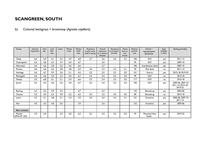b) Colonial bentgrass = browntop (*Agrostis capillaris*)

| Variety                | General<br>impression | Den-<br>sity | Leaf<br>fine-<br>ness | Color | Winter<br>color          | Winter<br>hardi-<br>ness | Resistance<br>to pink snow<br>mold in spring | Overall<br>resistance<br>to in-season<br>diseases | Resistance<br>to in-season<br>M.nivale | Resist-<br>ance to<br>red<br>thread | Relative<br>growth<br>rate | Owner /<br>representative<br>SE/NO/DK | Seed<br>available<br>in 2021 | Testing period(s)                                 |
|------------------------|-----------------------|--------------|-----------------------|-------|--------------------------|--------------------------|----------------------------------------------|---------------------------------------------------|----------------------------------------|-------------------------------------|----------------------------|---------------------------------------|------------------------------|---------------------------------------------------|
| Cleek                  | 6,6                   | 6,9          | 6,1                   | 5,4   | 5,9                      | 6,8                      | 5,7                                          | 5,6                                               | 5,6                                    | 5,3                                 | 106                        | <b>DLF</b>                            | yes                          | $2011 - 14$                                       |
| Greenspeed             | 6,5                   | 6,8          | 6,2                   | 4,7   | 6,4                      | 6,7                      | $\blacksquare$                               | 5,6                                               | $\blacksquare$                         | $\sim$                              | 95                         | <b>DLF</b>                            | yes                          | 2007-10                                           |
| Aberroyal              | 6,4                   | 6,6          | 5,8                   | 5,2   | 5,6                      | 6,6                      | $\overline{\phantom{0}}$                     | 5,7                                               | $\blacksquare$                         | $\overline{\phantom{0}}$            | 106                        | Scandinavian Seed                     | yes                          | 2007-10                                           |
| Puritan                | 6,0                   | 6,6          | 6,2                   | 5,8   | 4,8                      | 6,9                      | 5,5                                          | 5,3                                               | 5,3                                    | 5,1                                 | 94                         | <b>Pick Seed</b>                      | no                           | $2011 - 14$                                       |
| Heritage               | 5,6                   | 6.7          | 5,9                   | 5,4   | 5,1                      | 6,2                      | 5,2                                          | 5,5                                               | 5,5                                    | 5,0                                 | 0                          | Everris                               | yes                          | 2015-18, 2019-22                                  |
| Rhinegold              | 5,6                   | 6,6          | 5,9                   | 5,3   | 5,0                      | 6,7                      | 5,5                                          | 5,4                                               | 5,6                                    | 5,0                                 | 99                         | <b>DLF</b>                            | no                           | 2015-18                                           |
| Teetop                 | 5,5                   | 6,8          | 6,1                   | 5,1   | 5,4                      | 6,6                      | 5,5                                          | 5,4                                               | 5,5                                    | 5,0                                 | 117                        | <b>DLF</b>                            | no                           | 2015-18                                           |
| Jorvik                 | 5,5                   | 6,5          | 6,0                   | 5,6   | 5,0                      | 6,7                      | 5,5                                          | 5,4                                               | 5,5                                    | 5,0                                 | 100                        | <b>DLF</b>                            | yes                          | 2003-06, 2007-10,<br>2011-14, 2015-18,<br>2019-22 |
| <b>Barking</b>         | 5,3                   | 6,2          | 5,9                   | 5,3   | $\overline{\phantom{0}}$ | 6.7                      | $\sim$                                       | 5,3                                               | $\blacksquare$                         | $\sim$                              | 135                        | Barenbrug                             | yes                          | 2003-06                                           |
| Charles                | 5,2                   | 6,9          | 6,3                   | 4,9   | 5,2                      | 6,2                      | 5,2                                          | 5,3                                               | 5,4                                    | 5,0                                 | 85                         | Barenbrug                             | no                           | 2015-18                                           |
| Leirin                 | 4,7                   | 5,1          | 4,8                   | 5,1   | 2,4                      | 7,0                      | 5,9                                          | 5,4                                               | 5,4                                    | 5,1                                 | 3                          | Graminor                              | yes                          | 2003-06, 2007-10,<br>$2011 - 14$                  |
| Nor                    | 4.0                   | 4,3          | 4,0                   | 5,6   | $\blacksquare$           | 7,0                      | $\blacksquare$                               | 5,6                                               | $\blacksquare$                         | $\sim$                              | 122                        | Graminor                              | yes                          | 2003-06                                           |
|                        |                       |              |                       |       |                          |                          |                                              |                                                   |                                        |                                     |                            |                                       |                              |                                                   |
| <b>New varieties</b>   |                       |              |                       |       |                          |                          |                                              |                                                   |                                        |                                     |                            |                                       |                              |                                                   |
| Musket<br>(PPG-AT 104) | 5.9                   | 6,9          | $\sim$                | 5,3   | 5,0                      | 6,2                      | 5,2                                          | 5,5                                               | 5,5                                    | 5,0                                 | 93                         | Mountain View<br><b>Seeds</b>         | yes                          | 2019-22                                           |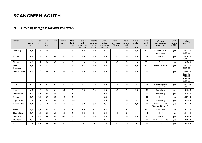#### c) Creeping bentgrass (*Agrostis stolonifera*)

| Variety                    | Gen.<br>impres-<br>sion | Den-<br>sity | Leaf<br>fine-<br>ness | Color | Winter<br>color | Winter<br>hardi-<br>ness | Resist. to<br>pink<br>snow mold<br>in spring | Resist. to<br>gray snow<br>mold in<br>spring | Overall<br>resistance<br>to in-season<br>diseases | Resistance<br>to in-season<br>M.nivale | Resist-<br>ance to<br>red<br>thread | Resist.<br>to take-<br>all<br>patch | Relative<br>growth<br>rate | Owner /<br>representative<br>SE/NO/DK | Seed<br>available<br>in 2021 | <b>Testing</b><br>period(s)                                     |
|----------------------------|-------------------------|--------------|-----------------------|-------|-----------------|--------------------------|----------------------------------------------|----------------------------------------------|---------------------------------------------------|----------------------------------------|-------------------------------------|-------------------------------------|----------------------------|---------------------------------------|------------------------------|-----------------------------------------------------------------|
| Luminary                   | 6,2                     | 7,3          | 5,9                   | 6,0   | 5,3             | 6,5                      | 5,8                                          | 6,0                                          | 6,5                                               | 6,0                                    | 6.0                                 | 6.0                                 | 97                         | Landmark Turf &<br><b>Native Seed</b> | yes                          | $2015 - 18$<br>2019-22                                          |
| Riptide                    | 6,2                     | 7,3          | 6.1                   | 5,8   | 5,2             | 6.6                      | 6,0                                          | 6,0                                          | 6,5                                               | 6.0                                    | 6,0                                 | 6.0                                 | 103                        | Everris                               | yes                          | $2015 - 18$<br>2019-22                                          |
| Flagstick                  | 6,2                     | 7,2          | 6.0                   | 6,0   | 5.1             | 6,5                      | 6,0                                          | 6,0                                          | 6,5                                               | 6.0                                    | 6.0                                 | 6.0                                 | 97                         | <b>DLF</b>                            | no                           | 2015-18                                                         |
| Pure<br><b>Distinction</b> | 6,2                     | 7,5          | 6,2                   | 5,1   | 5,2             | 6,4                      | 5,7                                          | 6,0                                          | 6,4                                               | 6,0                                    | 6,0                                 | 5,9                                 | 93                         | Svensk Jordelit                       | yes                          | $2015 - 18.$<br>2019-22                                         |
| Independence               | 6.0                     | 7,0          | 6,0                   | 6,0   | 5,0             | 6.7                      | 6.0                                          | 6,0                                          | 6,5                                               | 6.0                                    | 6.0                                 | 6.0                                 | 100                        | <b>DLF</b>                            | yes                          | 2003-06,<br>2007-10,<br>$2011 - 14$ ,<br>$2015 - 18$<br>2019-22 |
| OO <sub>7</sub>            | 6,1                     | 7,1          | 5,9                   | 6,0   | 5,1             | 6,7                      | 6,1                                          | 5,6                                          | 6,6                                               | 5,8                                    | 6,0                                 | $\blacksquare$                      | 108                        | Barenbrug/SW<br>Horto/PGM             | yes                          | $2011 - 14.$<br>2019-22                                         |
| Ignite                     | 6.0                     | 7,0          | 6.0                   | 6,1   | 5,0             | 6.1                      | 6.0                                          | 6,0                                          | 6,5                                               | 6.0                                    | 6.0                                 | 6.0                                 | 106                        | Barenbrug                             | yes                          | $2015 - 18$                                                     |
| Declaration                | 6,0                     | 6,9          | 6,4                   | 5,4   | 5,7             | 7,2                      | $\blacksquare$                               | $\blacksquare$                               | 6,5                                               | $\blacksquare$                         | $\overline{\phantom{a}}$            | $\blacksquare$                      | 100                        | Barenbrug                             | yes                          | 2007-10                                                         |
| Runner                     | 5.9                     | 7,0          | 6.2                   | 5,5   | 4.9             | 6,0                      |                                              | $\blacksquare$                               | 6,5                                               | $\overline{\phantom{a}}$               | $\overline{a}$                      | $\blacksquare$                      | 100                        | <b>DLF</b>                            | no                           | 2007-10                                                         |
| <b>Tiger Shark</b>         | 5,8                     | 7,1          | 6.1                   | 5,8   | 5,2             | 6,4                      | 5,7                                          | 5,7                                          | 6,4                                               | 6.0                                    | 6,0                                 | $\overline{a}$                      | 104                        | Barenbrug                             | yes                          | $2011 - 14$                                                     |
| <b>Crystal Blue</b>        | 5,7                     | 7,0          | 5,9                   | 6,1   | 5,4             | 6,3                      | 5,9                                          | 6,0                                          | 6,5                                               | 6,0                                    | 6,0                                 | 6,0                                 | 108                        | Svensk Jordelit<br>(Sweden, Norway)   | yes                          | 2015-18                                                         |
| Focus                      | 5,7                     | 6,8          | 5,8                   | 6,0   | 4,5             | 6,7                      | 6,0                                          | 5,8                                          | 6,3                                               | 6.0                                    | 5,6                                 | $\overline{a}$                      | 98                         | <b>Pick Seed</b>                      | no.                          | $2011 - 14$                                                     |
| Cobra Nova                 | 5,7                     | 6,8          | 6,0                   | 6,3   | 5,3             | 6,3                      | 5,8                                          | 5,1                                          | 6,4                                               | 6,1                                    | 5,8                                 | $\blacksquare$                      | 114                        | <b>DLF</b>                            | yes                          | $2011 - 14$                                                     |
| Memorial                   | 5,5                     | 6,6          | 5,6                   | 5,9   | 4,9             | 6,3                      | 5,9                                          | 6,0                                          | 6,5                                               | 6.0                                    | 6,0                                 | 6.0                                 | 2                          | <b>Everris</b>                        | yes                          | 2015-18                                                         |
| MacKenzie                  | 5,5                     | 6,4          | 6,1                   | 5,4   | 4,2             | 6,9                      | $\blacksquare$                               | $\blacksquare$                               | 6,5                                               | $\blacksquare$                         | $\blacksquare$                      | $\blacksquare$                      | 100                        | DSV / SW Horto                        | yes                          | 2007-10                                                         |
| $CY-2$                     | 5,5                     | 6,1          | 5,6                   | 5,1   | 5,1             | 6,5                      |                                              | $\blacksquare$                               | 6,4                                               |                                        |                                     |                                     | 100                        | <b>DLF</b>                            | yes                          | 2007-10                                                         |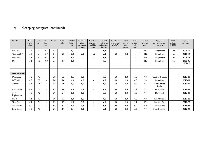| $\mathsf{c})$ | Creeping bentgrass (continued) |
|---------------|--------------------------------|
|---------------|--------------------------------|

| Variety              | Gen.<br>impres-<br>sion | Den-<br>sity | Leaf<br>fine-<br>ness    | Color | Winter<br>color | Winter<br>hardi-<br>ness | Resist. to<br>pink<br>snow mold<br>in spring | Resist. to<br>gray snow<br>mold in<br>spring | Overall<br>resistance<br>to in-season<br>diseases | Resistance<br>to in-season<br>M.nivale | Resist-<br>ance to<br>red<br>thread | Resist.<br>to take-<br>all<br>patch | Relative<br>growth<br>rate | Owner /<br>representative<br>SE/NO/DK | Seed<br>available<br>in 2021 | <b>Testing</b><br>period(s) |
|----------------------|-------------------------|--------------|--------------------------|-------|-----------------|--------------------------|----------------------------------------------|----------------------------------------------|---------------------------------------------------|----------------------------------------|-------------------------------------|-------------------------------------|----------------------------|---------------------------------------|------------------------------|-----------------------------|
| Penn G-2             | 5,4                     | 6,2          | 5.1                      | 5,7   | $\blacksquare$  | 6,1                      | $\overline{\phantom{0}}$                     | $\overline{\phantom{a}}$                     | 6,4                                               | $\blacksquare$                         | $\blacksquare$                      | $\blacksquare$                      | 150                        | Tempoverde                            | no                           | 2003-06                     |
| Teeone (T1)          | 5,3                     | 6,4          | 5,7                      | 6,1   | 5.0             | 6,4                      | 6.0                                          | 4,5                                          | 6,3                                               | 6.0                                    | 5,8                                 | $\blacksquare$                      | 112                        | Barenbrug                             | no                           | $2011 - 14$                 |
| Penn G-6             | 5,3                     | 6,2          | 5,3                      | 5,7   |                 | 6,0                      | $\overline{\phantom{0}}$                     | Ξ.                                           | 6,4                                               | $\overline{\phantom{0}}$               | $\blacksquare$                      | $\sim$                              | 125                        | Tempoverde                            | no                           | 2003-06                     |
| L93                  | 5,1                     | 5,9          | 4,8                      | 5,7   | 3,6             | 6,8                      | $\overline{\phantom{a}}$                     | $\overline{\phantom{a}}$                     | 6,5                                               | $\overline{\phantom{0}}$               | ٠                                   | $\blacksquare$                      | 119                        | Barenbrug                             | yes                          | 2003-06,<br>2007-10         |
|                      |                         |              |                          |       |                 |                          |                                              |                                              |                                                   |                                        |                                     |                                     |                            |                                       |                              |                             |
|                      |                         |              |                          |       |                 |                          |                                              |                                              |                                                   |                                        |                                     |                                     |                            |                                       |                              |                             |
| <b>New varieties</b> |                         |              |                          |       |                 |                          |                                              |                                              |                                                   |                                        |                                     |                                     |                            |                                       |                              |                             |
| Matchplay            | 6,5                     | 7,3          | ٠                        | 5,8   | 5,5             | 6,6                      | 6,0                                          | $\blacksquare$                               | 6,6                                               | 6,0                                    | 6,0                                 | 6,0                                 | 98                         | Landmark Seeds                        |                              | 2019-22                     |
| $L-93$ $XD$          | 6,3                     | 7,2          |                          | 5,8   | 5,6             | 6,6                      | 6,0                                          | $\blacksquare$                               | 6,5                                               | 6,0                                    | 6,0                                 | 6.0                                 | 90                         | Barenbrug                             |                              | 2019-22                     |
| Ardent               | 6,3                     | 7,4          | $\overline{\phantom{0}}$ | 6,4   | 6,0             | 6,6                      | 6,0                                          | $\blacksquare$                               | 6,6                                               | 6,0                                    | 6,0                                 | 6,0                                 | 91                         | Scandinavian<br>Seeds                 |                              | 2019-22                     |
| Macdonald            | 6,3                     | 7,3          | $\blacksquare$           | 5,7   | 5.4             | 6,5                      | 5,9                                          | $\blacksquare$                               | 6,6                                               | 6.0                                    | 6,0                                 | 5.9                                 | 97                         | <b>DLF</b> Seeds                      |                              | 2019-22                     |
| 777<br>Tripleseven   | 6,3                     | 7,2          |                          | 5,9   | 5.4             | 6,4                      | 5,8                                          | ۰.                                           | 6,6                                               | 6,0                                    | 6.0                                 | 6.0                                 | 97                         | <b>DLF</b> Seeds                      |                              | 2019-22                     |
| DC I                 | 6,1                     | 7,2          | $\overline{\phantom{0}}$ | 5,9   | 5,3             | 6,3                      | 5,6                                          | Ξ.                                           | 6,5                                               | 6,0                                    | 6,0                                 | 6.0                                 | 98                         | ICL / Everris                         |                              | 2019-22                     |
| Tour Pro             | 6,1                     | 7,4          | $\overline{\phantom{0}}$ | 5,9   | 5,2             | 6.4                      | 5,8                                          | $\blacksquare$                               | 6,5                                               | 6.0                                    | 6.0                                 | 5.9                                 | 104                        | Semillas Fito                         |                              | 2019-22                     |
| Valderrama           | 6,0                     | 7.1          |                          | 5,9   | 5,2             | 6,3                      | 5,5                                          | $\blacksquare$                               | 6,5                                               | 6,0                                    | 6,0                                 | 6.0                                 | 105                        | Semillas Fito                         |                              | 2019-22                     |
| <b>Pure Select</b>   | 6,0                     | 7,3          |                          | 5,7   | 4,7             | 6,1                      | 5,3                                          | $\blacksquare$                               | 6,4                                               | 6,0                                    | 6,0                                 | 6.0                                 | 99                         | Svensk Jordelit                       |                              | 2019-22                     |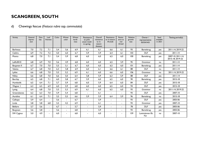#### d) Chewings fescue (*Festuca rubra* ssp. *commutata*)

| Variety          | General<br>impres-<br>sion | Den-<br>sity | Leaf<br>fineness | Color | Winter<br>color          | Winter<br>hardi-<br>ness | Resistance<br>to pink<br>snow mold<br>in spring | Overall<br>resistance<br>to in-<br>season<br>diseases | Resistance<br>to in-season<br>M.nivale | Resist-<br>ance to<br>red<br>thread | Relative<br>growth<br>rate | Owner /<br>representative<br>SE/DK/NO | Seed<br>available<br>in 2021 | Testing period(s)                     |
|------------------|----------------------------|--------------|------------------|-------|--------------------------|--------------------------|-------------------------------------------------|-------------------------------------------------------|----------------------------------------|-------------------------------------|----------------------------|---------------------------------------|------------------------------|---------------------------------------|
| <b>Barlineus</b> | 7.0                        | 7.2          | 7.1              | 5,4   | 5.6                      | 6.9                      | 6.1                                             | 6.1                                                   | 6.6                                    | 6.1                                 | 93                         | Barenbrug                             | yes                          | 2011-14.2019-22                       |
| <b>Caldris</b>   | 6,9                        | 7.2          | 7,2              | 5,0   | 6,0                      | 6.7                      | 5.9                                             | 5.9                                                   | 6,4                                    | 6,1                                 | 103                        | <b>DLF</b>                            | yes                          | $2011 - 14$                           |
| Musica           | 6,8                        | 7,0          | 7,1              | 5,4   | 5,9                      | 6,8                      | 6,0                                             | 6,0                                                   | 6,5                                    | 6.0                                 | 100                        | Barenbrug                             | yes                          | 2007-10, 2011-14,<br>2015-18, 2019-22 |
| LøRc0010         | 6,8                        | 6,9          | 7,0              | 5,6   | 4,9                      | 6,8                      | 6,0                                             | 6,0                                                   | 6,5                                    | 5.9                                 | 95                         | Graminor                              | no                           | $2011 - 14$                           |
| Bargreen II      | 6,7                        | 7,0          | 7,0              | 5,5   | 5,1                      | 6,7                      | 6.0                                             | 6.0                                                   | 6.5                                    | 6.0                                 | 101                        | Barenbrug                             | yes                          | $2011 - 14$                           |
| Valetta          | 6.7                        | 6,8          | 7,0              | 6,3   | 5,8                      | 6.9                      | 6,0                                             | 6,1                                                   | 6,6                                    | 6.1                                 | 88                         | <b>DLF</b>                            | no                           | $2011 - 14$                           |
| Lykke            | 6,6                        | 6,8          | 7,0              | 5,5   | 5,2                      | 6,9                      | 6.1                                             | 6,0                                                   | 6.6                                    | 6.0                                 | 106                        | Graminor                              | no                           | 2011-14, 2019-22                      |
| <b>Nikky</b>     | 6,6                        | 6,8          | 7,0              | 6,6   | 5,0                      | 6,4                      | 5,8                                             | 5,9                                                   | 6,3                                    | 5,9                                 | 88                         | <b>DLF</b>                            | yes                          | $2011 - 14$                           |
| <b>Barchip</b>   | 6,5                        | 6,8          | 7,1              | 6,0   | 5,8                      | 6,7                      | 5,9                                             | 6,0                                                   | 6,5                                    | 6.0                                 | 90                         | Barenbrug                             | yes                          | 2015-18                               |
| Humboldt         | 6,5                        | 6,4          | 7,1              | 5,7   | 5,9                      | 6,8                      | 6,0                                             | 5,9                                                   | 6,4                                    | 6.0                                 | 84                         | <b>DLF</b>                            | yes                          | 2015-18                               |
| Wagner I         | 6,3                        | 6,5          | 6,9              | 6,0   | 5,9                      | 6,8                      | 6,0                                             | 6,0                                                   | 6,5                                    | 6.0                                 | 94                         | <b>DLF</b>                            | yes                          | 2015-18                               |
| Lystig           | 6,4                        | 6.8          | 7,0              | 5,5   | 5,3                      | 6,9                      | 6,1                                             | 6,0                                                   | 6.5                                    | 6.0                                 | 93                         | Graminor                              | no                           | 2011-14, 2019-22                      |
| Greensleeves     | 6,2                        | 6,3          | 7,0              | 5,9   | 5,4                      | 6,8                      | $\sim$                                          | 6,1                                                   | $\overline{a}$                         | $\sim$                              | 93                         | <b>DLF</b>                            | yes                          | 2007-10                               |
| Aureline         | 6.1                        | 6,4          | 7,1              | 5,5   | 5,5                      | 6,6                      | 5,9                                             | 5,9                                                   | 6.4                                    | 5,9                                 | 96                         | Barenbrug                             | no                           | 2015-18                               |
| Calliope         | 5,9                        | 6,4          |                  | 5,6   |                          | 6,7                      |                                                 | 5,9                                                   |                                        | $\overline{a}$                      | 93                         | <b>DLF</b>                            | yes                          | 2003-06                               |
| Linda            | 5,8                        | 5,8          | 6,8              | 5,5   | 4,2                      | 6,9                      | $\blacksquare$                                  | 6,1                                                   | $\overline{\phantom{a}}$               | $\overline{a}$                      | 93                         | Graminor                              | yes                          | 2007-10                               |
| <b>Bellaire</b>  | 5,7                        | 5,6          | $\sim$           | 6,7   | $\blacksquare$           | 5,7                      | $\blacksquare$                                  | 5,9                                                   | $\overline{\phantom{a}}$               | $\blacksquare$                      | 78                         | <b>DLF</b>                            | yes                          | 2003-06                               |
| <b>Bargreen</b>  | 5,6                        | 5,8          | $\sim$           | 5,6   | $\overline{\phantom{0}}$ | 6,8                      | $\blacksquare$                                  | 5,9                                                   | $\blacksquare$                         | $\blacksquare$                      | 93                         | Barenbrug                             | yes                          | 2003-06                               |
| SW Cygnus        | 5,0                        | 4,9          | $\blacksquare$   | 6,0   | $\overline{\phantom{0}}$ | 6,8                      |                                                 | 6,0                                                   | $\blacksquare$                         | $\blacksquare$                      | 159                        | Lantmännen Ek.<br>För                 | no                           | 2007-10                               |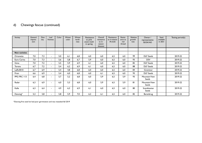#### d) Chewings fescue (continued)

| Variety              | General<br>impres-<br>sion | Den-<br>sity | Leaf<br>fineness         | Color | Winter<br>color | Winter<br>hardi-<br>ness | Resistance<br>to pink<br>snow mold<br>in spring | Overall<br>resistance<br>to in-<br>season<br>diseases | Resistance<br>to in-season<br>M.nivale | Resist-<br>ance to<br>red<br>thread | Relative<br>growth<br>rate | Owner /<br>representative<br>SE/DK/NO | Seed<br>available<br>in 2021 | Testing period(s) |
|----------------------|----------------------------|--------------|--------------------------|-------|-----------------|--------------------------|-------------------------------------------------|-------------------------------------------------------|----------------------------------------|-------------------------------------|----------------------------|---------------------------------------|------------------------------|-------------------|
|                      |                            |              |                          |       |                 |                          |                                                 |                                                       |                                        |                                     |                            |                                       |                              |                   |
| <b>New varieties</b> |                            |              |                          |       |                 |                          |                                                 |                                                       |                                        |                                     |                            |                                       |                              |                   |
| Orionette            | 7,0                        | 7,3          | $\blacksquare$           | 5,0   | 6,1             | 6,8                      | 6,0                                             | 6,0                                                   | 6,5                                    | 6,0                                 | 99                         | <b>DLF</b> Seeds                      |                              | 2019-22           |
| Euro Carina          | 7,0                        | 7,3          | $\blacksquare$           | 5,6   | 5,8             | 6,7                      | 5,9                                             | 6,0                                                   | 6,5                                    | 6,0                                 | 93                         | <b>DSV</b>                            |                              | 2019-22           |
| Gima                 | 7,0                        | 7,2          | $\overline{\phantom{a}}$ | 5,5   | 5,9             | 6,9                      | 6,1                                             | 6,0                                                   | 6,5                                    | 6,0                                 | 82                         | <b>DLF</b> Seeds                      |                              | 2019-22           |
| Torona               | 6,7                        | 7,2          | $\blacksquare$           | 5,4   | 6,2             | 6,9                      | 6,1                                             | 6,0                                                   | 6,5                                    | 6,0                                 | 88                         | <b>DLF</b> Seeds                      |                              | 2019-22           |
| LøRc0010             | 6,7                        | 6,9          | $\overline{a}$           | 5,4   | 4,8             | 6,8                      | 6,0                                             | 6,0                                                   | 6,5                                    | 6,0                                 | 84                         | Graminor                              |                              | 2019-22           |
| Firan                | 6,6                        | 6,9          | $\sim$                   | 5,4   | 6,0             | 6,8                      | 6,0                                             | 6,1                                                   | 6,5                                    | 6,0                                 | 93                         | <b>DLF</b> Seeds                      |                              | 2019-22           |
| PPG FRC 113          | 6,4                        | 6,8          | $\overline{a}$           | 5,7   | 5,2             | 6,8                      | 6,0                                             | 5,9                                                   | 6,5                                    | 5,9                                 | 93                         | Mountain View<br>Seeds                |                              | 2019-22           |
| Radar                | 6,3                        | 6,9          | $\overline{\phantom{a}}$ | 6,0   | 5,3             | 6,8                      | 6,0                                             | 5,9                                                   | 6,5                                    | 5,9                                 | 81                         | Mountain View<br>Seeds                |                              | 2019-22           |
| Kalle                | 6,3                        | 6,4          | $\overline{\phantom{a}}$ | 4,9   | 6,3             | 6,9                      | 6.1                                             | 6,0                                                   | 6,5                                    | 6.0                                 | 80                         | Scandinavian<br>Seeds                 |                              | 2019-22           |
| Dancing*             | 5,3                        | 5,8          | $\overline{\phantom{a}}$ | 5,8   | 5,9             | 7,0                      | 6,2                                             | 6,1                                                   | 6,5                                    | 6,0                                 | 82                         | Barenbrug                             |                              | 2019-22           |

\*Dancing first seed lot had poor germination and was reseeded fall 2019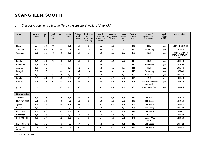| Variety                  | General<br>impression | Den-<br>sity | Leaf<br>fine<br>-ness    | Color | Winter<br>color | Winter<br>hardi-<br>ness | Resistance<br>to pink<br>snow mold<br>in spring | Overall<br>resistance<br>to in-season<br>diseases | Resistance<br>to in-season<br>M.nivale | Resist-<br>ance to<br>red<br>thread | Relative<br>growth<br>rate | Owner /<br>representative<br>SE/DK/NO | Seed<br>available<br>in 2021 | Testing period(s)                                 |
|--------------------------|-----------------------|--------------|--------------------------|-------|-----------------|--------------------------|-------------------------------------------------|---------------------------------------------------|----------------------------------------|-------------------------------------|----------------------------|---------------------------------------|------------------------------|---------------------------------------------------|
| Finesto                  | 6,1                   | 6,4          | 7,2                      | 5,4   | 5,0             | 6,3                      | 5,5                                             | 6,6                                               | 6,5                                    | $\blacksquare$                      | 127                        | <b>DSV</b>                            | yes                          | 2007-10, 2019-22                                  |
| Viktorka                 | 6,0                   | 6,3          | 7,3                      | 6.6   | 5.3             | 6.3                      |                                                 | 6,6                                               |                                        |                                     | 122                        | Barenbrug                             | yes                          | 2007-10                                           |
| Cezanne                  | 6,0                   | 6,0          | 7,0                      | 5,5   | 5,0             | 6,5                      | 5,5                                             | 6,5                                               | 6,5                                    | 6,5                                 | 100                        | <b>DLF</b>                            | yes                          | 2003-06, 2007-10,<br>2010-14, 2015-18,<br>2019-22 |
| Nigella                  | 5,9                   | 6,1          | 7,0                      | 5,8   | 5,2             | 6.6                      | 5,8                                             | 6,5                                               | 6.6                                    | 6,6                                 | 114                        | <b>DLF</b>                            | yes                          | $2011 - 14$                                       |
| Barcrown                 | 5,8                   | 6.1          | $\blacksquare$           | 5,3   |                 | 6,2                      |                                                 | 6,4                                               |                                        |                                     | 110                        | Barenbrug                             | yes                          | 2003-06                                           |
| Aporina                  | 5,8                   | 6,0          | 7,1                      | 5,4   | 5.1             | 6,5                      | 5,5                                             | 6,5                                               | 6,5                                    | 6,5                                 | 116                        | <b>DLF</b>                            | yes                          | 2015-18                                           |
| Baroyal                  | 5,8                   | 5,8          | $\sim$                   | 5,6   |                 | 6,7                      |                                                 | 6,6                                               |                                        |                                     | 120                        | Barenbrug                             | yes                          | 2003-06                                           |
| Mirador                  | 5,8                   | 5,8          | 7,2                      | 5,5   | 5,0             | 6,4                      | 5,4                                             | 6,5                                               | 6,5                                    | 6,5                                 | 107                        | Germinal                              | yes                          | 2015-18                                           |
| <b>Beudin</b>            | 5,7                   | 6,1          | 7,1                      | 5,0   | 5,1             | 5,9                      | 4,9                                             | 6,4                                               | 6,3                                    | 6,5                                 | 125                        | <b>DLF</b>                            | yes                          | $2011 - 14$                                       |
| Borluna                  | 5,6                   | 5,5          | 6,8                      | 6,0   | 4,9             | 6,5                      | 5,5                                             | 6,5                                               | 6,5                                    | 6,5                                 | 109                        | Saatzucht Steinach /<br>Germinal      | yes                          | $2015 - 18$                                       |
| Joppa                    | 5,1                   | 5,3          | 6,9                      | 5,3   | 4,0             | 6,3                      | 5,2                                             | 6,1                                               | 6,2                                    | 6,0                                 | 135                        | Scandinavian Seed                     | yes                          | $2011 - 14$                                       |
|                          |                       |              |                          |       |                 |                          |                                                 |                                                   |                                        |                                     |                            |                                       |                              |                                                   |
| <b>New varieties</b>     |                       |              |                          |       |                 |                          |                                                 |                                                   |                                        |                                     |                            |                                       |                              |                                                   |
| Absolom                  | 6,3                   | 5,9          | $\blacksquare$           | 5,6   | 4,4             | 6,1                      | 5,4                                             | 6,5                                               | 6,5                                    | 6,5                                 | 117                        | <b>DLF</b> Seeds                      |                              | 2019-22                                           |
| <b>DLF FRT-4575</b>      | 6,3                   | 6,0          | $\mathbf{r}$             | 5,9   | 4,5             | 6,2                      | 5,4                                             | 6,5                                               | 6,5                                    | 6,5                                 | 126                        | <b>DLF</b> Seeds                      |                              | 2019-22                                           |
| Sybille                  | 6,2                   | 5,8          | $\blacksquare$           | 5,6   | 4,4             | 6.4                      | 5,5                                             | 6,5                                               | 6,5                                    | 6,5                                 | 107                        | <b>DLF</b> Seeds                      |                              | 2019-22                                           |
| <b>Barswilcan</b>        | 6.0                   | 5,8          | $\blacksquare$           | 6.1   | 4.0             | 6.1                      | 5,4                                             | 6,5                                               | 6,5                                    | 6,5                                 | 105                        | Barenbrug                             |                              | 2019-22                                           |
| DLF FRT-4537             | 6,0                   | 6.0          | $\mathbf{r}$             | 6,1   | 4,5             | 6.5                      | 5,5                                             | 6,5                                               | 6,5                                    | 6,5                                 | 114                        | <b>DLF</b> Seeds                      |                              | 2019-22                                           |
| Charlotte                | 5.8                   | 5,8          | $\blacksquare$           | 6,0   | 4.0             | 6.1                      | 5,4                                             | 6,4                                               | 6,5                                    | 6,5                                 | 100                        | <b>DSV</b>                            |                              | 2019-22                                           |
| PPG FRT 101              | 5,6                   | 5,4          | $\blacksquare$           | 6,2   | 3,5             | 6,4                      | 5,5                                             | 6,4                                               | 6,5                                    | 6,4                                 | 140                        | Mountain View<br>Seeds                |                              | 2019-22                                           |
| <b>DLF FRT-4582</b>      | 5.5                   | 5,3          | $\blacksquare$           | 6,0   | 4,8             | 6.4                      | 5,5                                             | 6,5                                               | 6,5                                    | 6,4                                 | 112                        | <b>DLF</b> Seeds                      |                              | 2019-22                                           |
| <b>DLF FRR-</b><br>6039* | 5,2                   | 5,2          | $\overline{\phantom{a}}$ | 5,6   | 3,7             | 6,5                      | 5,5                                             | 6,3                                               | 6,5                                    | 6,4                                 | 127                        | <b>DLF</b> Seeds                      |                              | 2019-22                                           |

#### e) Slender creeping red fescue (*Festuca rubra* ssp. *litoralis (trichophylla*))

\* *Festuca rubra* ssp. *rubra*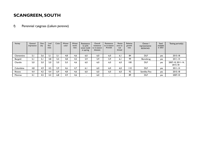#### f) Perennial ryegrass (*Lolium perenne*)

| Variety    | General<br>impression | Den-<br>sity | Leaf<br>fine<br>-ness | Color | Winter<br>color | Winter<br>hardi-<br>ness | Resistance<br>to pink<br>snow mold<br>in spring | Overall<br>resistance<br>to in-season<br>diseases | Resistance<br>to in-season<br>M.nivale | Resist-<br>ance to<br>red<br>thread | Relative<br>growth<br>rate | Owner /<br>representative<br>SE/DK/NO | Seed<br>available<br>in 2021 | Testing period(s)            |
|------------|-----------------------|--------------|-----------------------|-------|-----------------|--------------------------|-------------------------------------------------|---------------------------------------------------|----------------------------------------|-------------------------------------|----------------------------|---------------------------------------|------------------------------|------------------------------|
| Clementine | 5,1                   | 5,6          | 5. I                  | 5.1   | 4.8             | 4,6                      | 6,0                                             | 6,0                                               | 6,0                                    | 6.I                                 | 84                         | <b>DLF</b>                            | yes                          | 2015-18                      |
| Bargold    | 5. I                  | 5.           | 4,8                   | 5,5   | 4,8             | 4,5                      | 5,9                                             | 5,9                                               | 5,9                                    | 6,1                                 | 99                         | Barenbrug                             | yes                          | $2011 - 14$                  |
| Chardin    | 5,0                   | 5.0          | 5,0                   | 5,0   | 5,0             | 4,6                      | 6,0                                             | 6.0                                               | 6,0                                    | 6,0                                 | 100                        | <b>DLF</b>                            | yes                          | 2007-10, 2011-14,<br>2015-18 |
| Columbine  | 4,8                   | 4.9          | 4.5                   | 5.9   | 4,6             | 4.7                      | 6,1                                             | 6,0                                               | 6,0                                    | 6,0                                 | 110                        | <b>DLF</b>                            | yes                          | $2011 - 14$                  |
| Rinovo     | 4,4                   | 4.5          | 4.4                   | 6.9   | 4.8             | 4.6                      | 6,0                                             | 6,0                                               | 6.0                                    | 6,0                                 | 92                         | Semillas Fito                         | yes                          | 2015-18                      |
| Monroe     | 4,1                   | 4,5          | 4.4                   | 6.8   | 4.9             | 4,6                      | $\overline{\phantom{0}}$                        | 6,0                                               | $\overline{\phantom{a}}$               | $\overline{\phantom{0}}$            | 89                         | <b>DLF</b>                            | yes                          | 2007-10                      |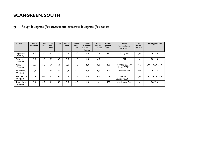g) Rough bluegrass (*Poa trivialis*) and prostrate bluegrass (*Poa supina)*

| Variety                           | General<br>impression | Den-<br>sity | Leaf<br>fine<br>-ness | Color | Winter<br>color | Winter<br>hardi-<br>ness | Overall<br>resistance<br>to in-season<br>diseases | Resist-<br>ance to<br>red thread | Relative<br>growth<br>rate | Owner /<br>representative<br>SE/DK/NO | Seed<br>available<br>in 2021 | Testing period(s) |
|-----------------------------------|-----------------------|--------------|-----------------------|-------|-----------------|--------------------------|---------------------------------------------------|----------------------------------|----------------------------|---------------------------------------|------------------------------|-------------------|
| Supranova<br>$($ Poa su $p$ . $)$ | 4,0                   | 5,5          | 3,2                   | 2,9   | 3,5             | 5.0                      | 6,0                                               | 5.9                              | 175                        | Eurogreen                             | yes                          | $2011 - 14$       |
| Sabrena I<br>(Poa triv.)          | 3,5                   | 5,3          | 5,2                   | 6,3   | 3,0             | 4.0                      | 6,0                                               | 6.0                              | 91                         | <b>DLF</b>                            | yes                          | 2015-18           |
| Qasar<br>(Poa triv.)              | 3,5                   | 5.0          | 5,0                   | 6.0   | 3,0             | 4.0                      | 6.0                                               | 6.0                              | 100                        | SW Horto / SW<br>Horto/PGM            | yes                          | 2007-10, 2015-18  |
| Winterway<br>(Poa triv.)          | 3,4                   | 5.0          | 4,9                   | 6.1   | 2.8             | 4.0                      | 6,0                                               | 6.0                              | 100                        | Semillas Fito                         | yes                          | 2015-18           |
| Dark Horse<br>(Poa triv.)         | 3.4                   | 4.9          | 5.2                   | 6.1   | 2.9             | 3.9                      | 6.0                                               | 6.0                              | 94                         | Berner /<br>Scandinavian Seed         | yes                          | 2011-14, 2015-18  |
| Race Horse<br>(Poa triv.)         | 3.4                   | 4.9          | 4.9                   | 5.9   | 3.5             | 4.0                      | 6.0                                               | $\overline{\phantom{0}}$         | 100                        | Scandinavian Seed                     | yes                          | 2007-10           |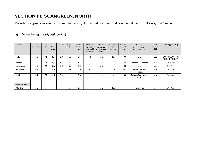# **SECTION III: SCANGREEN, NORTH**

Varieties for greens mowed at 3-5 mm in Iceland, Finland and northern and continental parts of Norway and Sweden

#### a) Velvet bentgrass (*Agrostis canina*)

| Variety              | General<br>impression | Den-<br>sity | Leaf<br>fine<br>-ness | Color  | Winter<br>color | Winter<br>hardi-<br>ness | Resistance<br>to pink<br>snow mold<br>in spring | Overall<br>resistance<br>to in-season<br>diseases | Resistance<br>to in-season<br>M.nivale | Relative<br>growth<br>rate | Owner /<br>representative<br><b>FIN/SE/NO/ICE</b> | Seed<br>available<br>in 2021 | Testing period(s)                     |
|----------------------|-----------------------|--------------|-----------------------|--------|-----------------|--------------------------|-------------------------------------------------|---------------------------------------------------|----------------------------------------|----------------------------|---------------------------------------------------|------------------------------|---------------------------------------|
| Villa I              | 6,5                   | 7,5          | 6,5                   | 5,0    | 6,5             | 5,5                      | 5,5                                             | 5,5                                               | 5.5                                    | 100                        | <b>DLF</b>                                        | yes                          | 2003-06, 2007-10,<br>2011-14, 2019-22 |
| Vesper               | 6,4                   | 7,4          | 6,5                   | 5.5    | 6.7             | 5.5                      | $\overline{\phantom{0}}$                        | 5,4                                               | $\overline{\phantom{a}}$               | 120                        | Berner/SW Horto                                   | no                           | 2007-10                               |
| Legendary            | 6,2                   | 7,5          | 6,6                   | 5.0    | 6,6             | 5,4                      | $\blacksquare$                                  | 5,5                                               | $\overline{\phantom{a}}$               | 100                        | <b>DLF</b>                                        | yes                          | 2007-10                               |
| Vitagreen            | 6,2                   | 7,3          | 6,5                   | 5,2    | 6,6             | 5,4                      | 5,7                                             | 5,5                                               | 5.6                                    | 86                         | Berner/Pick Seed/<br><b>Pick Seed</b>             | no                           | $2011 - 14$                           |
| Avalon               | 6.1                   | 7,2          | 6,5                   | 5,3    | $\blacksquare$  | 3,6                      | $\overline{\phantom{a}}$                        | 5,4                                               | $\overline{\phantom{0}}$               | 100                        | Berner/SW Horto /<br><b>PGM</b>                   | no                           | 2003-06                               |
|                      |                       |              |                       |        |                 |                          |                                                 |                                                   |                                        |                            |                                                   |                              |                                       |
| <b>New varieties</b> |                       |              |                       |        |                 |                          |                                                 |                                                   |                                        |                            |                                                   |                              |                                       |
| Nordlys              | 5,5                   | 6,4          |                       | $\sim$ | 5.4             | 5,5                      | $\overline{\phantom{a}}$                        | 5,5                                               | 5.6                                    | ۰.                         | Graminor                                          | no                           | 2019-22                               |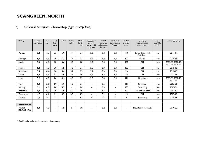#### b) Colonial bentgrass / browntop (*Agrostis capillaris)*

| Variety                | General<br>impression | Den-<br>sity | Leaf<br>fine<br>-ness    | Color | Winter<br>color | Winter<br>hardi-<br>ness | Resistance<br>to pink<br>snow mold<br>in spring | Overall<br>resistance<br>to in-season<br>diseases | Resistance<br>to in-season<br>M.nivale | Relative<br>growth<br>rate | Owner /<br>representative<br><b>FIN/SE/NO/ICE</b> | Seed<br>available<br>in 2021 | Testing period(s)                     |
|------------------------|-----------------------|--------------|--------------------------|-------|-----------------|--------------------------|-------------------------------------------------|---------------------------------------------------|----------------------------------------|----------------------------|---------------------------------------------------|------------------------------|---------------------------------------|
| Puritan                | 6,4                   | 7,0          | 6,3                      | 5,9   | 5,4             | 6,1                      | 5,3                                             | 5,4                                               | 5,4                                    | 88                         | Berner/Pick Seed/<br><b>Pick Seed</b>             | no                           | $2011 - 14$                           |
| Heritage               | 5,7                   | 6,5          | 6.0                      | 5,7   | 5.1             | 6.7                      | 5,5                                             | 5.2                                               | 5,3                                    | 100                        | <b>Everris</b>                                    | yes                          | 2015-18                               |
| Jorvik                 | 5,5                   | 6,5          | 6,0                      | 5,6   | 5.0             | 5,8                      | 5,3                                             | 5,3                                               | 5,3                                    | 100                        | <b>DLF</b>                                        | yes                          | 2003-06, 2007-10,<br>2011-14, 2015-18 |
| Teetop                 | 5,4                   | 6,5          | 6,0                      | 5,5   | 4,8             | 6,1                      | 5,5                                             | 5,3                                               | 5,3                                    | 122                        | <b>DLF</b>                                        | no                           | 2015-18                               |
| Rhinegold              | 5,4                   | 6,4          | 6,0                      | 5,6   | 4.7             | 6,2                      | 5,2                                             | 5,3                                               | 5,3                                    | 96                         | <b>DLF</b>                                        | no                           | 2015-18                               |
| Cleek                  | 5,2                   | 6,6          | 6,1                      | 5,6   | 4.9             | 6.0                      | 5,2                                             | 5,2                                               | 5,2                                    | 88                         | <b>DLF</b>                                        | yes                          | $2011 - 14$                           |
| Leirin                 | 5,2                   | 6,0          | 5,6                      | 5,4   | 4,0             | 6,5                      | 5,2                                             | 5,3                                               | 5,3                                    | $\mathbf{H}$               | Graminor                                          | yes                          | 2003-06, 2007-10,<br>$2011 - 14$      |
| <b>Nor</b>             | 5,2                   | 5,6          | 4,9                      | 5.9   | 3.0             | 6.7                      | $\blacksquare$                                  | 5,5                                               | $\blacksquare$                         | $\mathbf{H}$               | Graminor                                          | yes                          | 2003-06                               |
| <b>Barking</b>         | 5,1                   | 6,3          | 5,6                      | 5,2   | $\sim$          | 5,4                      | $\blacksquare$                                  | 5,3                                               | $\overline{\phantom{a}}$               | 105                        | Barenbrug                                         | yes                          | 2003-06                               |
| Aberroyal              | 4,9                   | 6.0          | 6,0                      | 5,5   | 5.0             | 5.0                      | $\overline{\phantom{a}}$                        | 5,3                                               |                                        | 100                        | Scandinavian Seed                                 | yes                          | 2007-10                               |
| Greenspeed             | 4,7                   | 6,1          | 6,1                      | 5,3   | 6,0             | 4,3                      | $\blacksquare$                                  | 5,2                                               | $\overline{\phantom{a}}$               | 95                         | <b>DLF</b>                                        | yes                          | 2007-10                               |
| Charles                | 3,5                   | $*$          | $*$                      | $*$   | $\ast$          | 4,1                      | $\ast$                                          | $\ast$                                            | $\ast$                                 | $\ast$                     | Barenbrug                                         | no                           | 2015-18                               |
|                        |                       |              |                          |       |                 |                          |                                                 |                                                   |                                        |                            |                                                   |                              |                                       |
| <b>New varieties</b>   |                       |              |                          |       |                 |                          |                                                 |                                                   |                                        |                            |                                                   |                              |                                       |
| Musket<br>(PPG-AT 104) | 5,4                   | 6,5          | $\overline{\phantom{a}}$ | 5,5   | 5               | 5,8                      | $\overline{\phantom{a}}$                        | 5,2                                               | 5,4                                    | $\blacksquare$             | Mountain View Seeds                               |                              | 2019-22                               |

\* Could not be evaluated due to abiotic winter damage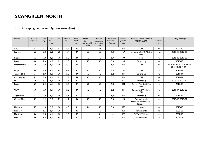#### c) Creeping bentgrass (*Agrostis stolonifera*)

| Variety            | General<br>impression | Den-<br>sity | Leaf<br>fine<br>-ness | Color | Winter<br>color | Winter<br>hardi-<br>ness | Resistance<br>to pink<br>snow mold<br>in spring | Overall<br>resistance<br>to in-season<br>diseases | Resistance<br>to in-season<br>M.nivale | Relative<br>growth<br>rate | Owner / representative<br><b>FIN/SE/NO/ICE</b>     | Seed<br>available<br>in 2021 | Testing period(s)                              |
|--------------------|-----------------------|--------------|-----------------------|-------|-----------------|--------------------------|-------------------------------------------------|---------------------------------------------------|----------------------------------------|----------------------------|----------------------------------------------------|------------------------------|------------------------------------------------|
| $CY-2$             | 6,2                   | 7.1          | 6.0                   | 6.1   | 5.2             | 4,5                      |                                                 | 5,4                                               |                                        | 100                        | <b>DLF</b>                                         | yes                          | 2007-10                                        |
| Luminary           | 6,3                   | 7,0          | 6,0                   | 5,8   | 4,7             | 4,9                      | 5,3                                             | 5,3                                               | 5,3                                    | 67                         | Landmark Turf & Native<br>Seed                     | yes                          | 2015-18, 2019-22                               |
| Riptide            | 6.3                   | 7,0          | 6,0                   | 5,8   | 5,0             | 4,8                      | 5,3                                             | 5,3                                               | 5,3                                    | 90                         | <b>Everris</b>                                     | yes                          | 2015-18.2019-22                                |
| Ignite             | 6,0                   | 7,0          | 6,0                   | 6,1   | 5.0             | 4.9                      | 5,3                                             | 5,3                                               | 5,3                                    | 94                         | Barenbrug                                          | yes                          | 2015-18                                        |
| Independence       | 6,0                   | 7,0          | 6.0                   | 6.0   | 5,0             | 4,8                      | 5,3                                             | 5,3                                               | 5,3                                    | 100                        | <b>DLF</b>                                         | yes                          | 2003-06, 2007-10, 2011-14,<br>2015-18, 2019-22 |
| Flagstick          | 6,0                   | 7,0          | 6,0                   | 5,9   | 4,9             | 4,7                      | 5,3                                             | 5,3                                               | 5,3                                    | 92                         | <b>DLF</b>                                         | no                           | 2015-18                                        |
| Teeone (T1)        | 6.1                   | 6,9          | 6,0                   | 6.0   | 5,5             | 4,9                      | 5,3                                             | 5,2                                               | 5,2                                    | 114                        | Barenbrug                                          | no                           | $2011 - 14$                                    |
| Cobra Nova         | 5,9                   | 6.8          | 6,0                   | 6,1   | 5,3             | 4,8                      | 5,2                                             | 5,2                                               | 5,2                                    | 100                        | <b>DLF</b>                                         | yes                          | $2011 - 14$                                    |
| L93                | 5,8                   | 6.6          | 5,9                   | 6.0   | 4,7             | 4,7                      |                                                 | 5,3                                               |                                        | 127                        | Barenbrug                                          | yes                          | 2003-06.2007-10                                |
| Focus              | 5,7                   | 7,2          | 6,1                   | 6,0   | 5.0             | 4,7                      | 5,2                                             | 5,3                                               | 5,3                                    | 100                        | Berner/Pick Seed/Pick<br>Seed                      | no                           | $2011 - 14$                                    |
| OO <sub>7</sub>    | 5,9                   | 7,0          | 6,1                   | 5,9   | 5,2             | 4,9                      | 5,2                                             | 5,2                                               | 5,2                                    | 114                        | Barenbrug/SW Horto/<br><b>PGM</b>                  | yes                          | 2011-14.2019-22                                |
| <b>Tiger Shark</b> | 5,7                   | 7,0          | 6.1                   | 6.0   | 5.1             | 4.7                      | 5.3                                             | 5,2                                               | 5.2                                    | 100                        | Barenbrug                                          | yes                          | $2011 - 14$                                    |
| Crystal Blue       | 5,9                   | 6,9          | 5,8                   | 5,9   | 4,9             | 4,8                      | 5,3                                             | 5,3                                               | 5,3                                    | 98                         | Svensk Jordelit<br>(Sweden, Norway and<br>Finland) | yes                          | 2015-18, 2019-22                               |
| Memorial           | 5,7                   | 6,8          | 5,8                   | 6,0   | 4,8             | 4,9                      | 5,4                                             | 5,3                                               | 5,3                                    | 127                        | Everris                                            | yes                          | $2015 - 18$                                    |
| Penn G-6           | 5,7                   | 6,6          | 5,9                   | 6,0   |                 | 4,5                      | $\blacksquare$                                  | 5,2                                               | $\blacksquare$                         | 120                        | Tempoverde                                         | no                           | 2003-06                                        |
| MacKenzie          | 5,6                   | 6,8          | 6,1                   | 6,0   | 5,0             | 4,2                      | $\blacksquare$                                  | 5,4                                               | $\overline{a}$                         | 133                        | DSV / SW Horto                                     | yes                          | 2007-10                                        |
| Penn G-2           | 5,6                   | 6,6          | 6,1                   | 5,9   |                 | 2,7                      |                                                 | 5,3                                               | $\blacksquare$                         | 120                        | Tempoverde                                         | no                           | 2003-06                                        |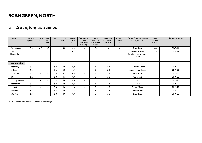#### c) Creeping bentgrass (continued)

| Variety                    | General<br>impression | Den-<br>sity             | Leaf<br>fine<br>-ness    | Color  | Winter<br>color | Winter<br>hardi-<br>ness | Resistance<br>to pink<br>snow mold<br>in spring | Overall<br>resistance<br>to in-season<br>diseases | Resistance<br>to in-season<br>M.nivale | Relative<br>growth<br>rate | Owner / representative<br><b>FIN/SE/NO/ICE</b>     | Seed<br>available<br>in 2021 | Testing period(s) |
|----------------------------|-----------------------|--------------------------|--------------------------|--------|-----------------|--------------------------|-------------------------------------------------|---------------------------------------------------|----------------------------------------|----------------------------|----------------------------------------------------|------------------------------|-------------------|
| <b>Declaration</b>         | 5,4                   | 6,6                      | 5,9                      | 6,1    | 5,0             | 4,3                      | $\blacksquare$                                  | 5,4                                               | $\blacksquare$                         | 100                        | Barenbrug                                          | yes                          | 2007-10           |
| Pure<br><b>Distinction</b> | 4,2                   | $\ast$                   | $\ast$                   | $\ast$ | $\ast$          | 3,2                      | $\ast$                                          | $*$                                               | $\ast$                                 | $\ast$                     | Svensk Jordelit<br>(Sweden, Norway and<br>Finland) | yes                          | 2015-18           |
|                            |                       |                          |                          |        |                 |                          |                                                 |                                                   |                                        |                            |                                                    |                              |                   |
| <b>New varieties</b>       |                       |                          |                          |        |                 |                          |                                                 |                                                   |                                        |                            |                                                    |                              |                   |
| Matchplay                  | 6,7                   | $\overline{\phantom{0}}$ | $\sim$                   | 5,8    | 4,8             | 4.9                      | $\blacksquare$                                  | 5,3                                               | 5,3                                    | $\overline{\phantom{0}}$   | Landmark Seeds                                     |                              | 2019-22           |
| Ardent                     | 6,6                   | $\overline{\phantom{0}}$ | $\sim$                   | 6,6    | 5,5             | 4,9                      | $\blacksquare$                                  | 5,3                                               | 5,3                                    |                            | Scandinavian Seeds                                 |                              | 2019-22           |
| Valderrama                 | 6,3                   | $\sim$                   | $\sim$                   | 5,9    | 5,1             | 4,9                      | $\blacksquare$                                  | 5,3                                               | 5,3                                    |                            | Semillas Fito                                      |                              | 2019-22           |
| DC I                       | 6,2                   | $\sim$                   | $\sim$                   | 5,8    | 4,6             | 4,8                      | $\blacksquare$                                  | 5,3                                               | 5,3                                    | $\,$                       | <b>ICL/Everris</b>                                 |                              | 2019-22           |
| 777 Tripleseven            | 6,2                   | $\sim$                   | $\overline{\phantom{a}}$ | 5,9    | 4,6             | 4,8                      | $\blacksquare$                                  | 5,3                                               | 5,3                                    |                            | <b>DLF</b>                                         |                              | 2019-22           |
| Macdonald                  | 6,1                   | $\sim$                   | $\sim$                   | 5,8    | 4,6             | 4,8                      | $\blacksquare$                                  | 5,3                                               | 5,3                                    |                            | <b>DLF</b>                                         |                              | 2019-22           |
| Penntrio                   | 6,1                   | $\sim$                   | $\overline{\phantom{a}}$ | 5,8    | 4,6             | 4,8                      | $\blacksquare$                                  | 5,2                                               | 5,2                                    | $\blacksquare$             | Tempo Verde                                        |                              | 2019-22           |
| Tour Pro                   | 6,1                   | $\sim$                   | $\sim$                   | 5,8    | 4,6             | 4,8                      | $\blacksquare$                                  | 5,3                                               | 5,3                                    |                            | Semillas Fito                                      |                              | 2019-22           |
| L-93 XD                    | 6,0                   |                          | $\blacksquare$           | 5,8    | 4,9             | 4,9                      | ٠                                               | 5,3                                               | 5,3                                    |                            | Barenbrug                                          |                              | 2019-22           |

\* Could not be evaluated due to abiotic winter damage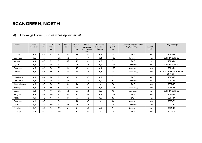#### d) Chewings fescue (*Festuca rubra* ssp. *commutata*)

| Variety          | General<br>impression | Den-<br>sity | Leaf<br>fine<br>-ness    | Color | Winter<br>color | Winter<br>hardi-<br>ness | Overall<br>resistance<br>to in-season<br>diseases | Resistance<br>to in-season<br>M.nivale | Relative<br>growth<br>rate | Owner / representative<br><b>FIN/SE/NO/ICE</b> | Seed<br>available<br>in 2021 | Testing period(s)                     |
|------------------|-----------------------|--------------|--------------------------|-------|-----------------|--------------------------|---------------------------------------------------|----------------------------------------|----------------------------|------------------------------------------------|------------------------------|---------------------------------------|
| Caldris          | 6,5                   | 6.6          | 7.2                      | 5,9   | 5,3             | 5,8                      | 6,5                                               | 6,5                                    | 100                        | <b>DLF</b>                                     | yes                          | $2011 - 14$                           |
| <b>Barlineus</b> | 6,5                   | 6,7          | $\blacksquare$           | 6,2   | 5,0             | 5,4                      | 6,4                                               | 6,4                                    | 105                        | Barenbrug                                      | yes                          | 2011-14, 2019-22                      |
| Valetta          | 6,4                   | 6,5          | 6,9                      | 6,9   | 4,7             | 5,9                      | 6,6                                               | 6,6                                    | 91                         | <b>DLF</b>                                     | no                           | $2011 - 14$                           |
| Lykke            | 6,4                   | 6,4          | 6,9                      | 6,3   | 5,0             | 6,6                      | 6,5                                               | 6,5                                    | $\mathbf{H}$               | Graminor                                       | no                           | 2011-14, 2019-22                      |
| Bargreen II      | 6,3                   | 6,6          | 7,0                      | 6,2   | 4,6             | 5,7                      | 6,4                                               | 6,4                                    | 100                        | Barenbrug                                      | yes                          | $2011 - 14$                           |
| Musica           | 6,3                   | 6,5          | 7,0                      | 6,2   | 5,3             | 5,8                      | 6,5                                               | 6,5                                    | 100                        | Barenbrug                                      | yes                          | 2007-10, 2011-14, 2015-18,<br>2019-22 |
| Humboldt         | 6,3                   | 6.4          | 7,0                      | 6.9   | 6,2             | 6,1                      | 6,5                                               | 6,5                                    | 91                         | <b>DLF</b>                                     | yes                          | 2015-18                               |
| LøRc0010         | 6,3                   | 6,4          | 6.9                      | 6,3   | 4,4             | 5,7                      | 6,6                                               | 6,6                                    | 91                         | Graminor                                       | no                           | $2011 - 14$                           |
| Greensleeves     | 6,3                   | 6,3          | 7,0                      | 6,2   | 5,4             | 5,6                      | 6,5                                               | $\blacksquare$                         | 78                         | <b>DLF</b>                                     | yes                          | 2007-10                               |
| Barchip          | 6,2                   | 6,5          | 7,0                      | 7,3   | 6,2             | 5,9                      | 6,5                                               | 6,5                                    | 106                        | Barenbrug                                      | yes                          | 2015-18                               |
| Lystig           | 6,2                   | 6,4          | 7.0                      | 6,2   | 5,0             | 6,7                      | 6,6                                               | 6,6                                    | 95                         | Graminor                                       | no                           | 2011-14, 2019-22                      |
| Wagner I         | 6,2                   | 6.4          | 7,0                      | 7,3   | 5,5             | 5,7                      | 6,4                                               | 6,5                                    | 104                        | <b>DLF</b>                                     | yes                          | 2015-18                               |
| <b>Nikky</b>     | 6,1                   | 6,5          | 7,1                      | 7,1   | 4,4             | 5,7                      | 6,5                                               | 6,5                                    | 82                         | <b>DLF</b>                                     | yes                          | $2011 - 14$                           |
| Bargreen         | 6,1                   | 6,0          | $\overline{\phantom{0}}$ | 5,4   | $\overline{a}$  | 5,8                      | 6,5                                               | $\blacksquare$                         | 86                         | Barenbrug                                      | yes                          | 2003-06                               |
| Linda            | 5,8                   | 5.9          | 7,0                      | 6,1   | 4,8             | 5,8                      | 6,5                                               | $\blacksquare$                         | 78                         | Graminor                                       | yes                          | 2007-10                               |
| Aureline         | 5,7                   | 6,5          | 7,0                      | 6,2   | 6,4             | 5,4                      | 6,6                                               | 6,5                                    | 94                         | Barenbrug                                      | no                           | 2015-18                               |
| Calliope         | 5,4                   | 6,0          |                          | 5,4   | $\blacksquare$  | 4,7                      | 6,5                                               | $\blacksquare$                         | 78                         | <b>DLF</b>                                     | yes                          | 2003-06                               |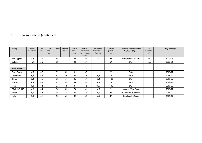#### d) Chewings fescue (continued)

| Variety              | General<br>impression | Den-<br>sity | Leaf<br>fine<br>-ness | Color | Winter<br>color | Winter<br>hardi-<br>ness | Overall<br>resistance<br>to in-season<br>diseases | Resistance<br>to in-season<br>M.nivale | Relative<br>growth<br>rate | Owner / representative<br><b>FIN/SE/NO/ICE</b> | Seed<br>available<br>in 2021 | Testing period(s) |
|----------------------|-----------------------|--------------|-----------------------|-------|-----------------|--------------------------|---------------------------------------------------|----------------------------------------|----------------------------|------------------------------------------------|------------------------------|-------------------|
| SW Cygnus            | 5,3                   | 5,5          | -                     | 5,8   | $\sim$          | 5,8                      | 6,5                                               | ۰.                                     | 86                         | Lantmännen Ek. För                             | no                           | 2003-06           |
| <b>Bellaire</b>      | 4,9                   | 5.9          |                       | 6,8   | $\blacksquare$  | 3,5                      | 6,4                                               |                                        | 69                         | <b>DLF</b>                                     | yes                          | 2003-06           |
|                      |                       |              |                       |       |                 |                          |                                                   |                                        |                            |                                                |                              |                   |
| <b>New varieties</b> |                       |              |                       |       |                 |                          |                                                   |                                        |                            |                                                |                              |                   |
| Euro Carina          | 6,5                   | 6,3          |                       | 6,2   | 5,1             | 8,1                      | 6,5                                               |                                        | 93                         | <b>DSV</b>                                     |                              | 2019-22           |
| Orionette            | 6,4                   | 6,6          |                       | 6,2   | 5,8             | 8,5                      | 6,6                                               | 6,5                                    | 120                        | <b>DLF</b>                                     |                              | 2019-22           |
| Gima                 | 6,4                   | 6,3          |                       | 6,2   | 5,4             | 4,3                      | 6,4                                               | 6,4                                    | 102                        | <b>DLF</b>                                     |                              | 2019-22           |
| Torona               | 6,3                   | 6,4          |                       | 6,2   | 5,5             | 8,6                      | 6,5                                               | 6,5                                    | 130                        | <b>DLF</b>                                     |                              | 2019-22           |
| Firan                | 6,3                   | 6,1          |                       | 6,3   | 5,6             | 8,1                      | 6,6                                               | 6,5                                    | 130                        | <b>DLF</b>                                     |                              | 2019-22           |
| PPG FRC 113          | 6,2                   | 6.1          |                       | 6,8   | 5,1             | 7,0                      | 6,6                                               | 6,5                                    | 91                         | <b>Mountain View Seeds</b>                     |                              | 2019-22           |
| Radar                | 6,2                   | 6.1          |                       | 6,8   | 5,1             | 4,4                      | 6,6                                               | 6,5                                    | 98                         | <b>Mountain View Seeds</b>                     |                              | 2019-22           |
| Kalle                | 5,9                   | 6,4          |                       | 6,0   | 6,1             | 8,7                      | 6,5                                               | 6,5                                    | 89                         | Scandinavian Seeds                             |                              | 2019-22           |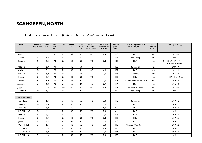#### e) Slender creeping red fescue (*Festuca rubra* ssp. *litoralis (trichophylla*))

| Variety              | General<br>impression | Den-<br>sity | Leaf<br>fine<br>-ness    | Color | Winter<br>color | Winter<br>hardi-<br>ness | Overall<br>resistance<br>to in-season<br>diseases | Resistance<br>to in-season<br>M.nivale | Relative<br>growth<br>rate | Owner / representative<br><b>FIN/SE/NO/ICE</b> | Seed<br>available<br>in 2021 | Testing period(s)                              |
|----------------------|-----------------------|--------------|--------------------------|-------|-----------------|--------------------------|---------------------------------------------------|----------------------------------------|----------------------------|------------------------------------------------|------------------------------|------------------------------------------------|
| Nigella              | 6,2                   | 6.1          | 6,9                      | 5,7   | 5.2             | 5.3                      | 6,9                                               | 6.9                                    | 100                        | <b>DLF</b>                                     | yes                          | $2011 - 14$                                    |
| Baroyal              | 6,1                   | 5,8          |                          | 5,7   |                 | 5,7                      | 7,0                                               |                                        | 113                        | Barenbrug                                      | yes                          | 2003-06                                        |
| Cezanne              | 6,0                   | 6,0          | 7,0                      | 5,5   | 5,0             | 5,3                      | 7,0                                               | 7,0                                    | 100                        | <b>DLF</b>                                     | yes                          | 2003-06, 2007-10, 2011-14,<br>2015-18, 2019-22 |
| Viktorka             | 5,9                   | 6,0          | 7,0                      | 5,6   | 4,8             | 5,0                      | 6,9                                               | $\sim$                                 | 100                        | Barenbrug                                      | yes                          | 2007-10                                        |
| <b>Beudin</b>        | 5,8                   | 5,9          | 7,2                      | 5,3   | 5,0             | 5,1                      | 6,9                                               | 6,9                                    | 102                        | <b>DLF</b>                                     | yes                          | $2011 - 14$                                    |
| Mirador              | 5,8                   | 5,9          | 7,0                      | 5,6   | 5,0             | 5,0                      | 7,0                                               | 7,0                                    | 115                        | Germinal                                       | yes                          | $2015 - 18$                                    |
| Finesto              | 5,8                   | 5.9          | 7,0                      | 5,3   | 4,9             | 5,2                      | 7,0                                               | $\blacksquare$                         | 115                        | <b>DSV</b>                                     | yes                          | 2007-10, 2019-22                               |
| Borluna              | 5,6                   | 6,0          | 7,0                      | 5,7   | 5,3             | 5,2                      | 7,0                                               | 7,0                                    | 108                        | Saatzucht Steinach / Germinal                  | yes                          | 2015-18                                        |
| Aporina              | 5,6                   | 6,0          | 7,0                      | 5,6   | 5,0             | 4,9                      | 6,9                                               | 6,9                                    | 114                        | <b>DLF</b>                                     | yes                          | 2015-18                                        |
| Joppa                | 5,6                   | 5,4          | 6,8                      | 5,4   | 4,6             | 5,5                      | 6,9                                               | 6,9                                    | 107                        | Scandinavian Seed                              | yes                          | $2011 - 14$                                    |
| Barcrown             | 5,0                   | 5,6          |                          | 5,6   |                 | 4,7                      | 7,0                                               |                                        | 88                         | Barenbrug                                      | yes                          | 2003-06                                        |
|                      |                       |              |                          |       |                 |                          |                                                   |                                        |                            |                                                |                              |                                                |
| <b>New varieties</b> |                       |              |                          |       |                 |                          |                                                   |                                        |                            |                                                |                              |                                                |
| <b>Barswilcan</b>    | 6,2                   | 6,3          | $\overline{\phantom{0}}$ | 5,4   | 4,7             | 5,3                      | 7,0                                               | 7,0                                    | 110                        | Barenbrug                                      |                              | 2019-22                                        |
| Cezanne              | 6,0                   | 6,0          |                          | 5,5   | 5,0             | 5,3                      | 7,0                                               | 7,0                                    | 100                        | <b>DLF</b>                                     |                              | 2019-22                                        |
| Charlotte            | 6,0                   | 6,0          | $\overline{a}$           | 5,4   | 4,8             | 5,3                      | 7,0                                               | 6,9                                    | 87                         | <b>DSV</b>                                     |                              | 2019-22                                        |
| DLF FRT-4537         | 5,8                   | 6,2          | $\blacksquare$           | 5,4   | 5,0             | 5,3                      | 7,0                                               | 7,0                                    | 85                         | <b>DLF</b>                                     |                              | 2019-22                                        |
| Absolom              | 5,8                   | 6,2          | $\overline{a}$           | 5,2   | 5,0             | 5,3                      | 7,0                                               | 7,0                                    | 103                        | <b>DLF</b>                                     |                              | 2019-22                                        |
| Finesto              | 5,8                   | 5,9          | $\overline{a}$           | 5,3   | 4,9             | 5,2                      | 7,0                                               | 7,0                                    | 115                        | <b>DSV</b>                                     |                              | 2019-22                                        |
| Sybille              | 5,8                   | 6,3          | $\overline{\phantom{0}}$ | 5,3   | 4,7             | 5,3                      | 7,0                                               | 7,0                                    | 100                        | <b>DLF</b>                                     |                              | 2019-22                                        |
| PPG FRT 101          | 5,6                   | 6,1          | $\blacksquare$           | 5,4   | 4,0             | 5,2                      | 7,0                                               | 7,0                                    | 118                        | Mountain View Seeds                            |                              | 2019-22                                        |
| <b>DLF FRT-4575</b>  | 5,5                   | 6,3          | $\blacksquare$           | 5,3   | 5,0             | 5,3                      | 7,0                                               | 6,9                                    | 115                        | <b>DLF</b>                                     |                              | 2019-22                                        |
| <b>DLF FRR-6039</b>  | 5,3                   | 6,0          |                          | 5,4   | 4,4             | 4,4                      | 7,0                                               | 7,0                                    | 2                          | <b>DLF</b>                                     |                              | 2019-22                                        |
| <b>DLF FRT-4582</b>  | 5,0                   | 6,0          |                          | 5,3   | 5,0             | 5,3                      | 7,0                                               | 7,0                                    | 105                        | <b>DLF</b>                                     |                              | 2019-22                                        |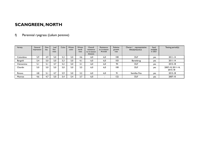#### f) Perennial ryegrass (*Lolium perenne*)

| Variety    | General<br>impression | Den-<br>sity | Leat<br>fine<br>-ness | Color | Winter<br>color | Winter<br>hardi-<br>ness | Overall<br>resistance<br>to in-season<br>diseases | Resistance<br>to in-season<br>M.nivale | Relative<br>growth<br>rate | Owner /<br>representative<br><b>FIN/SE/NO/ICE</b> | Seed<br>available<br>in 2021 | Testing period(s)            |
|------------|-----------------------|--------------|-----------------------|-------|-----------------|--------------------------|---------------------------------------------------|----------------------------------------|----------------------------|---------------------------------------------------|------------------------------|------------------------------|
| Columbine  | 5,9                   | 4,9          | 5.0                   | 5.3   | 5.0             | 4.6                      | 6,0                                               | 6,0                                    | 100                        | <b>DLF</b>                                        | yes                          | $2011 - 14$                  |
| Bargold    | 5,4                   | 5,0          | 5.0                   | 5,3   | 5.0             | 4.1                      | 6,0                                               | 6,0                                    | 103                        | Barenbrug                                         | yes                          | $2011 - 14$                  |
| Clementine | 5,1                   | 5. I         | 4.7                   | 5.2   | 5.0             | 3,1                      | 6,0                                               | 6,0                                    | 94                         | <b>DLF</b>                                        | yes                          | 2015-18                      |
| Chardin    | 5,0                   | 5,0          | 5.0                   | 5.0   | 5.0             | 3.5                      | 6,0                                               | 6,0                                    | 100                        | <b>DLF</b>                                        | yes                          | 2007-10, 2011-14,<br>2015-18 |
| Rinovo     | 4,8                   | 5,1          | 4.7                   | 5.9   | 5.0             | 3.2                      | 6,0                                               | 6,0                                    | 91                         | Semillas Fito                                     | yes                          | 2015-18                      |
| Monroe     | 4,6                   | 4,7          | 5,0                   | 5,4   | 5,4             | 3,7                      | 6,0                                               | $\overline{\phantom{a}}$               | 122                        | <b>DLF</b>                                        | yes                          | 2007-10                      |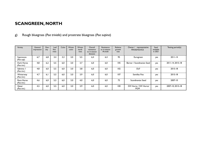#### g) Rough bluegrass (*Poa trivialis*) and prostrate bluegrass (*Poa supina*)

| Variety                   | General<br>impression | Den-<br>sity | Leaf<br>fine<br>-ness | Color | Winter<br>color | Winter<br>hardi-<br>ness | Overall<br>resistance<br>to in-season<br>diseases | Resistance<br>to in-season<br>M.nivale | Relative<br>growth<br>rate | Owner / representative<br><b>FIN/SE/NO/ICE</b> | Seed<br>available<br>in 2021 | Testing period(s) |
|---------------------------|-----------------------|--------------|-----------------------|-------|-----------------|--------------------------|---------------------------------------------------|----------------------------------------|----------------------------|------------------------------------------------|------------------------------|-------------------|
| Supranova<br>(Poa sup)    | 6,7                   | 6,8          | 3.4                   | 3,3   | 3.0             | 5.5                      | 6,4                                               | 6,4                                    | 95                         | Eurogreen                                      | yes                          | $2011 - 14$       |
| Dark Horse<br>(Poa triv.) | 4,8                   | 6,2          | 5,5                   | 6.0   | 3.0             | 3.7                      | 6,0                                               | 6,0                                    | 105                        | Berner / Scandinavian Seed                     | yes                          | 2011-14, 2015-18  |
| Sabrena  <br>(Poa triv.)  | 4,8                   | 6,0          | 5,5                   | 6.0   | 3.0             | 3.8                      | 6,0                                               | 6,0                                    | 102                        | <b>DLF</b>                                     | yes                          | 2015-18           |
| Winterway<br>(Poa triv.)  | 4,7                   | 6.1          | 5,5                   | 6.0   | 3.0             | 3.9                      | 6.0                                               | 6,0                                    | 107                        | Semillas Fito                                  | yes                          | 2015-18           |
| Race Horse<br>(Poa triv.) | 4.6                   | 6,0          | 5.5                   | 6.0   | 3.0             | 4.0                      | 6.0                                               | 6.0                                    | 75                         | Scandinavian Seed                              | yes                          | 2007-10           |
| Qasar<br>(Poa triv.)      | 4,5                   | 6,0          | 5,5                   | 6.0   | 3.0             | 3.9                      | 6,0                                               | 6,0                                    | 100                        | SW Horto / SW Horto/<br><b>PGM</b>             | yes                          | 2007-10, 2015-18  |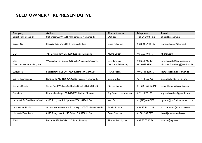### **SEED OWNER / REPRESENTATIVE**

| <b>Company</b>                | <b>Address</b>                                              | <b>Contact person</b>    | <b>Telephone</b>     | E-mail                          |
|-------------------------------|-------------------------------------------------------------|--------------------------|----------------------|---------------------------------|
| Barenbrug Holland BV          | Stationsstraat 40, 6515 AB Nijmegen, Netherlands            | Olaf Bos                 | +31 24 348 81 52     | obos@barenbrug.nl               |
|                               |                                                             |                          |                      |                                 |
| Berner Oy                     | Hitsaajankatu 24, 00811 Helsinki, Finland                   | Janne Pulkkinen          | + 358 505 942 169    | janne.pulkkinen@berner.fi       |
|                               |                                                             |                          |                      |                                 |
|                               |                                                             |                          |                      |                                 |
| <b>DLF</b>                    | Ny Østergade 9, DK-4000 Roskilde, Denmark                   | Nanna Larsen             | +45 72 33 04 15      | nfl@dlf.com                     |
| <b>DSV</b>                    | Weissenburger Strasse 5, D-59557 Lippstadt, Germany         |                          | +48 664 920 434      | jerzy.krzyzak@dsv-seeds.com     |
|                               |                                                             | Jerzy Krzyzak            |                      |                                 |
| Deutsche Saatveredelung AG    |                                                             | Ole Sams Falkenberg      | +45 4045 9704        | ole.sams.falkenberg@dsv-froe.dk |
|                               |                                                             |                          |                      |                                 |
| Eurogreen                     | Betzdorfer Str. 25-29, 57520 Rosenheim, Germany             | Harald Nonn              | +49 2741 281856      | Harald.Nonn@eurogreen.de        |
|                               |                                                             |                          |                      |                                 |
| Everris International         | P.O.Box 40, NL-4190 CA Geldermalsen, Netherlands            | Simon Taylor             | +31 418 655 700      | simon.taylor@everris.com        |
|                               |                                                             |                          |                      |                                 |
| <b>Germinal Seeds</b>         | Camp Road, Witham, St. Hughs, Lincoln, LN6 9QJ, UK          | <b>Richard Brown</b>     | +44 (0) 1522 868714  | richard.brown@germinal.com      |
|                               |                                                             |                          |                      |                                 |
| Graminor                      | Hommelstadvegen 60, NO-2322 Ridabu, Norway                  | Stig Rune L. Herbrandsen | +47 414 72 186       | stig.herbrandsen@graminor.no    |
|                               |                                                             |                          |                      |                                 |
| Landmark Turf and Native Seed | 4908 S. Hayford Rd., Spokane, WA 99224, USA                 | John Patton              | +1 (912)660-7292     | jpatton@turfandnativeseed.com   |
|                               |                                                             |                          |                      |                                 |
| Lantmännen Ek. För            | Att: Annika Nilsson, von Troils väg 1, 205-03 Malmö, Sweden | Annika Nilsson           | $+4677$ $111$ $1222$ | annika.x.nilsson@lantmannen.com |
|                               |                                                             |                          |                      |                                 |
| <b>Mountain View Seeds</b>    | 8955 Sunnyview Rd NE, Salem, OR 97305, USA                  | <b>Brett Freeborn</b>    | +1 503 588 7333      | brett@mtviewseeds.com           |
|                               |                                                             |                          |                      |                                 |
| <b>PGM</b>                    | Postboks 390, NO-1411 Kolbotn, Norway                       | Thomas Nicolaysen        | + 47 95 05 15 76     | thomas@pgm.no                   |
|                               |                                                             |                          |                      |                                 |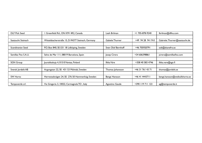| <b>DLF Pick Seed</b> | Greenfield Rd., ON K9V 4R2, Canada                | Leah Brilman           | +1 705-878-9240   | lbrilman@dlfna.com             |
|----------------------|---------------------------------------------------|------------------------|-------------------|--------------------------------|
|                      |                                                   |                        |                   |                                |
| Saatzucht Steinach   | Wittelsbacherstraße 15, D-94377 Steinach, Germany | <b>Gabiele Thurner</b> | +49 94 28 94 19-0 | Gabriele.Thurner@saatzucht.de  |
|                      |                                                   |                        |                   |                                |
| Scandinavian Seed    | P.O. Box 840, SE-531 18 Lidköping, Sweden         | Sven Olof Bernhoff     | +46 705920791     | sob@skanefro.se                |
|                      |                                                   |                        |                   |                                |
| Semillas Fito S.A.U. | Selva de Mar 111, 08019 Barcelona, Spain          | Josep Cirera           | +34 606398861     | jcirera@semillasfito.com       |
|                      |                                                   |                        |                   |                                |
| <b>SGN Group</b>     | Juurakkokuja 4, 01510 Vantaa, Finland             | Ilkka Väre             | +358 40 583 4746  | ilkka.vare@sgn.fi              |
|                      |                                                   |                        |                   |                                |
| Svensk Jordelit AB   | Argongatan 22, SE-431 53 Mölndal, Sweden          | Thomas Johansson       | +46 31 761 43 71  | thomas@jordelit.se             |
|                      |                                                   |                        |                   |                                |
| <b>SW Horto</b>      | Herrestadsvägen 24, SE- 276 50 Hammenhög; Sweden  | Bengt Hansson          | +46 41 4443711    | bengt.hansson@weibullshorto.se |
|                      |                                                   |                        |                   |                                |
| Tempoverde srl.      | Via Gregoria 3, 10022, Carmagnola TO, Italy       | Agostino Gaude         | +390 119 711 123  | ag@tempoverde.it               |